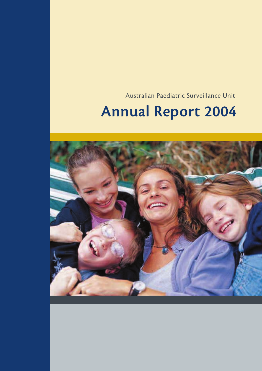Australian Paediatric Surveillance Unit

# **Annual Report 2004**

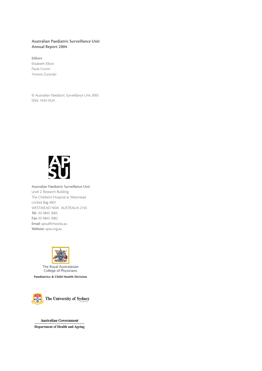## **Australian Paediatric Surveillance Unit Annual Report 2004**

Editors Elizabeth Elliott Paula Cronin Yvonne Zurynski

© Australian Paediatric Surveillance Unit 2005 ISSN: 1443-3524



Australian Paediatric Surveillance Unit Level 2, Research Building The Children's Hospital at Westmead Locked Bag 4001 WESTMEAD NSW AUSTRALIA 2145 Tel: 02 9845 3005 Fax: 02 9845 3082 Email: apsu@chw.edu.au Website: apsu.org.au



The Royal Australasian College of Physicians

**Paediatrics & Child Health Division**



**Australian Government Department of Health and Ageing**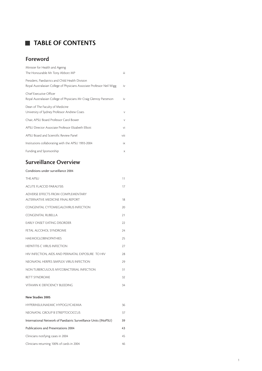# **TABLE OF CONTENTS**

# **Foreword**

| Minister for Health and Ageing                                                                                             |        |
|----------------------------------------------------------------------------------------------------------------------------|--------|
| The Honourable Mr Tony Abbott MP                                                                                           | Ϊij    |
| President, Paediatrics and Child Health Division<br>Royal Australasian College of Physicians Associate Professor Neil Wigg | iv     |
| Chief Executive Officer<br>Royal Australasian College of Physicians Mr Craig Glenroy Patterson                             | iv     |
| Dean of The Faculty of Medicine<br>University of Sydney Professor Andrew Coats                                             | $\vee$ |
| Chair, APSU Board Professor Carol Bower                                                                                    | $\vee$ |
| APSU Director Associate Professor Elizabeth Elliott                                                                        | vi     |
| APSU Board and Scientific Review Panel                                                                                     | viii   |
| Institutions collaborating with the APSU 1993-2004                                                                         | ix     |
| Funding and Sponsorship                                                                                                    | X      |

# **Surveillance Overview**

#### Conditions under surveillance 2004

| <b>THE APSU</b>                                                         | 11 |
|-------------------------------------------------------------------------|----|
| ACUTE ELACCID PARALYSIS                                                 | 17 |
| ADVERSE EFFECTS FROM COMPLEMENTARY<br>AITERNATIVE MEDICINE FINAL REPORT | 18 |
| CONGENITAL CYTOMEGALOVIRUS INFECTION                                    | 20 |
| CONGENITAL RUBELLA                                                      | 21 |
| <b>FARLY ONSET FATING DISORDER</b>                                      | 22 |
| FETAL ALCOHOL SYNDROME                                                  | 24 |
| <b>HAEMOGLOBINOPATHIES</b>                                              | 25 |
| <b>HEPATITIS C VIRUS INFECTION</b>                                      | 27 |
| HIV INFECTION. AIDS AND PERINATAL EXPOSURE TO HIV                       | 28 |
| NEONATAL HERPES SIMPLEX VIRUS INFECTION                                 | 29 |
| NON TUBERCULOUS MYCOBACTERIAL INFECTION                                 | 31 |
| <b>RETT SYNDROME</b>                                                    | 32 |
| VITAMIN K DEFICIENCY BI FFDING                                          | 34 |
| New Studies 2005                                                        |    |

| HYPERINSULINAEMIC HYPOGLYCAEMIA                                 | 36 |
|-----------------------------------------------------------------|----|
| NEONATAL GROUP B STREPTOCOCCUS                                  | 37 |
| International Network of Paediatric Surveillance Units (INoPSU) | 39 |
| <b>Publications and Presentations 2004</b>                      | 43 |
| Clinicians notifying cases in 2004                              | 45 |
| Clinicians returning 100% of cards in 2004                      | 46 |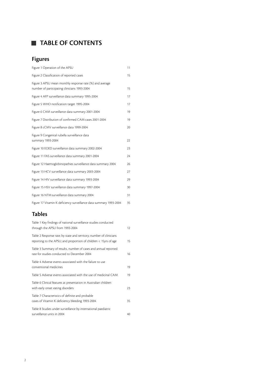# **TABLE OF CONTENTS**

# **Figures**

| Figure 1 Operation of the APSU                                                                           | 11 |
|----------------------------------------------------------------------------------------------------------|----|
| Figure 2 Classification of reported cases                                                                | 15 |
| Figure 3 APSU mean monthly response rate (%) and average<br>number of participating clinicians 1993-2004 | 15 |
| Figure 4 AFP surveillance data summary 1995-2004                                                         | 17 |
| Figure 5 WHO notification target 1995-2004                                                               | 17 |
| Figure 6 CAM surveillance data summary 2001-2004                                                         | 19 |
| Figure 7 Distribution of confirmed CAM cases 2001-2004                                                   | 19 |
| Figure 8 cCMV surveillance data 1999-2004                                                                | 20 |
| Figure 9 Congenital rubella surveillance data<br>summary 1993-2004                                       | 22 |
| Figure 10 EOED surveillance data summary 2002-2004                                                       | 23 |
| Figure 11 FAS surveillance data summary 2001-2004                                                        | 24 |
| Figure 12 Haemoglobinopathies surveillance data summary 2004                                             | 26 |
| Figure 13 HCV surveillance data summary 2003-2004                                                        | 27 |
| Figure 14 HIV surveillance data summary 1993-2004                                                        | 29 |
| Figure 15 HSV surveillance data summary 1997-2004                                                        | 30 |
| Figure 16 NTM surveillance data summary 2004                                                             | 31 |
| Figure 17 Vitamin K deficiency surveillance data summary 1993-2004                                       | 35 |

# **Tables**

| Table 1 Key findings of national surveillance studies conducted<br>through the APSU from 1993-2004                                      | 12 |
|-----------------------------------------------------------------------------------------------------------------------------------------|----|
| Table 2 Response rate; by state and territory; number of clinicians<br>reporting to the APSU; and proportion of children < 15yrs of age | 15 |
| Table 3 Summary of results, number of cases and annual reported<br>rate for studies conducted to December 2004                          | 16 |
| Table 4 Adverse events associated with the failure to use<br>conventional medicines                                                     | 19 |
| Table 5 Adverse events associated with the use of medicinal CAM                                                                         | 19 |
| Table 6 Clinical features at presentation in Australian children<br>with early onset eating disorders                                   | 23 |
| Table 7 Characteristics of definite and probable<br>cases of Vitamin K deficiency bleeding 1993-2004                                    | 35 |
| Table 8 Studies under surveillance by international paediatric<br>surveillance units in 2004                                            | 40 |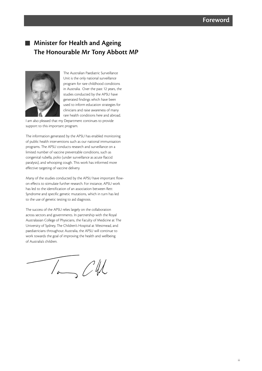# **Minister for Health and Ageing The Honourable Mr Tony Abbott MP**



The Australian Paediatric Surveillance Unit is the only national surveillance program for rare childhood conditions in Australia. Over the past 12 years, the studies conducted by the APSU have generated findings which have been used to inform education strategies for clinicians and raise awareness of many rare health conditions here and abroad.

I am also pleased that my Department continues to provide support to this important program.

The information generated by the APSU has enabled monitoring of public health interventions such as our national immunisation programs. The APSU conducts research and surveillance on a limited number of vaccine preventable conditions, such as congenital rubella, polio (under surveillance as acute flaccid paralysis), and whooping cough. This work has informed more effective targeting of vaccine delivery.

Many of the studies conducted by the APSU have important flowon effects to stimulate further research. For instance, APSU work has led to the identification of an association between Rett Syndrome and specific genetic mutations, which in turn has led to the use of genetic testing to aid diagnosis.

The success of the APSU relies largely on the collaboration across sectors and governments. In partnership with the Royal Australasian College of Physicians, the Faculty of Medicine at The University of Sydney, The Children's Hospital at Westmead, and paediatricians throughout Australia, the APSU will continue to work towards the goal of improving the health and wellbeing of Australia's children.

 $7 - C/L$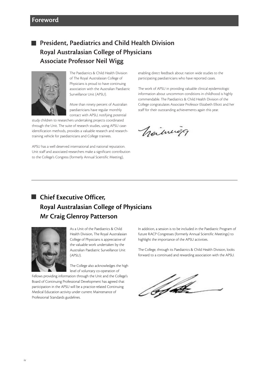# **President, Paediatrics and Child Health Division Royal Australasian College of Physicians Associate Professor Neil Wigg**



The Paediatrics & Child Health Division of The Royal Australasian College of Physicians is proud to have continuing association with the Australian Paediatric Surveillance Unit (APSU).

More than ninety percent of Australian paediatricians have regular monthly contact with APSU, notifying potential

study children to researchers undertaking projects coordinated through the Unit. The suite of research studies, using APSU caseidentification methods, provides a valuable research and researchtraining vehicle for paediatricians and College trainees.

APSU has a well deserved international and national reputation. Unit staff and associated researchers make a significant contribution to the College's Congress (formerly Annual Scientific Meeting),

enabling direct feedback about nation wide studies to the participating paediatricians who have reported cases.

The work of APSU in providing valuable clinical epidemiologic information about uncommon conditions in childhood is highly commendable. The Paediatrics & Child Health Division of the College congratulates Associate Professor Elizabeth Elliott and her staff for their outstanding achievements again this year.

Vigiliniag

# **Chief Executive Officer, Royal Australasian College of Physicians Mr Craig Glenroy Patterson**



As a Unit of the Paediatrics & Child Health Division, The Royal Australasian College of Physicians is appreciative of the valuable work undertaken by the Australian Paediatric Surveillance Unit (APSU).

The College also acknowledges the high level of voluntary co-operation of

Fellows providing information through the Unit and the College's Board of Continuing Professional Development has agreed that participation in the APSU will be a practice-related Continuing Medical Education activity under current Maintenance of Professional Standards guidelines.

In addition, a session is to be included in the Paediatric Program of future RACP Congresses (formerly Annual Scientific Meetings) to highlight the importance of the APSU activities.

The College, through its Paediatrics & Child Health Division, looks forward to a continued and rewarding association with the APSU.

**Afrik**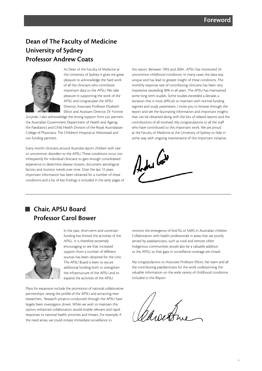# **Dean of The Faculty of Medicine University of Sydney Professor Andrew Coats**



As Dean of the Faculty of Medicine at the University of Sydney it gives me great pleasure to acknowledge the hard work of all the clinicians who contribute important data to the APSU. We take pleasure in supporting the work of the APSU and congratulate the APSU Director, Associate Professor Elizabeth Elliott and Assistant Director, Dr Yvonne

Zurynski. I also acknowledge the strong support from our partners the Australian Government Department of Health and Ageing, the Paediatrics and Child Health Division of the Royal Australasian College of Physicians, The Children's Hospital at Westmead and our funding partners.

Every month clinicians around Australia report children with rare or uncommon disorders to the APSU. These conditions occur too infrequently for individual clinicians to gain enough consolidated experience to determine disease clusters, document aetiological factors and monitor trends over time. Over the last 12 years important information has been obtained for a number of these conditions and a list of key findings is included in the early pages of this report. Between 1993 and 2004 , APSU has monitored 34 uncommon childhood conditions. In many cases the data was unique and has lead to greater insight of these conditions. The monthly response rate of contributing clinicians has been very impressive, exceeding 90% in all years. The APSU has maintained some long term studies. Some studies exceeded a decade, a duration that is most difficult to maintain with normal funding regimes and study parameters. I invite you to browse through the report and see the fascinating information and important insights that can be obtained along with the lists of related reports and the contributions of all involved. My congratulations to all the staff who have contributed to this important work. We are proud at the Faculty of Medicine at the University of Sydney to help in some way with ongoing maintenance of this important initiative.



# **Chair, APSU Board Professor Carol Bower**



In the past, short-term and uncertain funding has limited the activities of the APSU. It is therefore extremely encouraging to see that increased support from a number of different sources has been obtained for the Unit. The APSU Board is keen to secure additional funding both to strengthen the infrastructure of the APSU and to expand the activities of the APSU.

Plans for expansion include the promotion of national collaborative partnerships, raising the profile of the APSU and attracting new researchers. Research projects conducted through the APSU have largely been investigator driven. While we wish to maintain this option, enhanced collaboration would enable relevant and rapid responses to national health priorities and threats. For example, if the need arose, we could initiate immediate surveillance to

monitor the emergence of bird flu or SARS in Australian children. Collaboration with health professionals in areas that are poorly served by paediatricians, such as rural and remote, often Indigenous communities would also be a valuable addition to the APSU, so that gaps in surveillance coverage are closed.

My congratulations to Associate Professor Elliott, her team and all the contributing paediatricians for the work underpinning the valuable information on the wide variety of childhood conditions included in this Report.

*Dasser*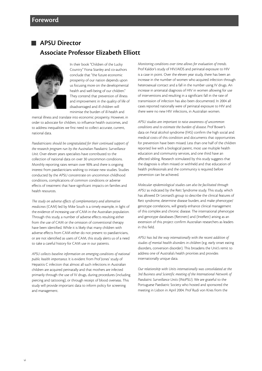# **APSU Director Associate Professor Elizabeth Elliott**



In their book "Children of the Lucky Country" Fiona Stanley and co-authors conclude that "the future economic prosperity of our nation depends upon us focusing more on the developmental health and well-being of our children." They contend that prevention of illness and improvement in the quality of life of disadvantaged and ill children will minimise the burden of ill-health and

mental illness and translate into economic prosperity. However, in order to advocate for children, to influence health outcomes, and to address inequalities we first need to collect accurate, current, national data.

*Paediatricians should be congratulated for their continued support of the research program run by the Australian Paediatric Surveillance Unit*. Over eleven years specialists have contributed to the collection of national data on over 30 uncommon conditions. Monthly reporting rates remain over 90% and there is ongoing interest from paediatricians wishing to initiate new studies. Studies conducted by the APSU concentrate on uncommon childhood conditions, complications of common conditions or adverse effects of treatment that have significant impacts on families and health resources.

*The study on adverse effects of complementary and alternative medicines* (CAM) led by Mike South is a timely example, in light of the evidence of increasing use of CAM in the Australian population. Through this study, a number of adverse effects resulting either from the use of CAM or the omission of conventional therapy have been identified. While it is likely that many children with adverse effects from CAM either do not present to paediatricians, or are not identified as users of CAM, this study alerts us of a need to take a careful history for CAM use in our patients.

*APSU collects baseline information on emerging conditions of national public health importance*. It is evident from Prof Jones' study of Hepatitis C infection that almost all such infections in Australian children are acquired perinatally and that mothers are infected primarily through the use of IV drugs, during procedures (including piercing and tattooing), or through receipt of blood overseas. This study will provide important data to inform policy for screening and management.

*Monitoring conditions over time allows for evaluation of trends*. Prof Kaldor's study of HIV/AIDS and perinatal exposure to HIV is a case in point. Over the eleven year study, there has been an increase in the number of women who acquired infection through heterosexual contact and a fall in the number using IV drugs. An increase in antenatal diagnosis of HIV in women allowing for use of interventions and resulting in a significant fall in the rate of transmission of infection has also been documented. In 2004 all cases reported nationally were of perinatal exposure to HIV and there were no new HIV infections, in Australian women.

*APSU studies are important to raise awareness of uncommon conditions and to estimate the burden of disease*. Prof Bower's data on Fetal alcohol syndrome (FAS) confirm the high social and medical costs of this condition and documents that opportunities for prevention have been missed. Less than one half of the children reported live with a biological parent, most use multiple health education and community services, and one third have an affected sibling. Research stimulated by this study suggests that the diagnosis is often missed or withheld and that education of health professionals and the community is required before prevention can be achieved.

*Molecular epidemiological studies can also be facilitated through APSU* as indicated by the Rett Syndrome study. This study, which has allowed Dr Leonard's group to describe the clinical features of Rett syndrome, determine disease burden, and make phenotype/ genotype correlations, will greatly enhance clinical management of this complex and chronic disease. The international phenotype and genotype databases (Rettnett) and (InteRett) arising as an extension of this project confirm Australian researchers as leaders in this field.

*APSU has led the way internationally with the recent addition of studies of mental health disorders in children* (e.g. early onset eating disorders, conversion disorder). This broadens the Unit's remit to address one of Australia's health priorities and provides internationally unique data.

*Our relationship with Units internationally was consolidated at the 3rd Business and Scientific meeting of the International Network of Paediatric Surveillance Units* (INoPSU). We are grateful to the Portuguese Paediatric Society who hosted and sponsored the meeting in Lisbon in April 2004. Prof Rudi von Kries from the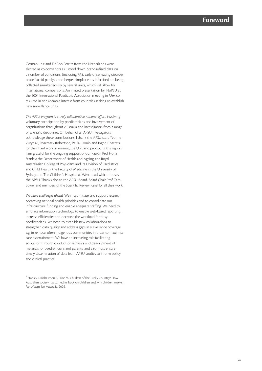German unit and Dr Rob Pereira from the Netherlands were elected as co-convenors as I stood down. Standardised data on a number of conditions, (including FAS, early onset eating disorder, acute flaccid paralysis and herpes simplex virus infection) are being collected simultaneously by several units, which will allow for international comparisons. An invited presentation by INoPSU at the 2004 International Paediatric Association meeting in Mexico resulted in considerable interest from countries seeking to establish new surveillance units.

*The APSU program is a truly collaborative national effort*, involving voluntary participation by paediatricians and involvement of organizations throughout Australia and investigators from a range of scientific disciplines. On behalf of all APSU investigators I acknowledge these contributions. I thank the APSU staff, Yvonne Zurynski, Rosemary Robertson, Paula Cronin and Ingrid Charters for their hard work in running the Unit and producing this report. I am grateful for the ongoing support of our Patron Prof Fiona Stanley; the Department of Health and Ageing; the Royal Australasian College of Physicians and its Division of Paediatrics and Child Health; the Faculty of Medicine in the University of Sydney and The Children's Hospital at Westmead which houses the APSU. Thanks also to the APSU Board, Board Chair Prof Carol Bower and members of the Scientific Review Panel for all their work.

*We have challenges ahead*. We must initiate and support research addressing national health priorities and to consolidate our infrastructure funding and enable adequate staffing. We need to embrace information technology to enable web-based reporting, increase efficiencies and decrease the workload for busy paediatricians. We need to establish new collaborations to strengthen data quality and address gaps in surveillance coverage e.g. in remote, often indigenous communities in order to maximise case ascertainment. We have an increasing role facilitating education through conduct of seminars and development of materials for paediatricians and parents; and also must ensure timely dissemination of data from APSU studies to inform policy and clinical practice.

<sup>&</sup>lt;sup>1</sup> Stanley F, Richardson S, Prior M. Children of the Lucky Country? How Australian society has turned its back on children and why children matter, Pan Macmillan Australia, 2005.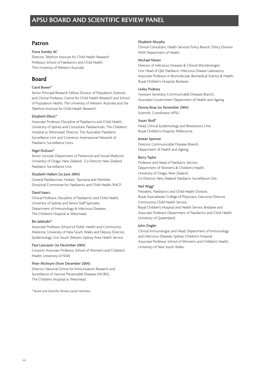# **Patron**

#### Fiona Stanley AC

Director, Telethon Institute for Child Health Research Professor, School of Paediatrics and Child Health The University of Western Australia

# **Board**

### Carol Bower\*

Senior Principal Research Fellow, Division of Population Sciences and Clinical Professor, Centre for Child Health Research and School of Population Health, The University of Western Australia and the Telethon Institute for Child Health Research.

#### Elizabeth Elliott\*

Associate Professor, Discipline of Paediatrics and Child Health, University of Sydney and Consultant Paediatrician, The Children's Hospital at Westmead. Director, The Australian Paediatric Surveillance Unit and Convenor, International Network of Paediatric Surveillance Units.

### Nigel Dickson\*

Senior Lecturer, Department of Preventive and Social Medicine University of Otago, New Zealand. Co-Director New Zealand Paediatric Surveillance Unit.

#### Elizabeth Hallam (to June 2004)

General Paediatrician, Hobart, Tasmania and Member, Divisional Committee for Paediatrics and Child Health, RACP.

#### David Isaacs

Clinical Professor, Discipline of Paediatrics and Child Health, University of Sydney and Senior Staff Specialist, Department of Immunology & Infectious Diseases, The Children's Hospital at Westmead.

#### Bin Jalaludin\*

Associate Professor, School of Public Health and Community Medicine, University of New South Wales and Deputy Director, Epidemiology Unit South Western Sydney Area Health Service.

#### Paul Lancaster (to December 2004)

Conjoint Associate Professor, School of Women's and Children's Health, University of NSW.

#### Peter McIntyre (from December 2004)

Director, National Centre for Immunisation Research and Surveillance of Vaccine Preventable Diseases (NCIRS), The Childrens Hospital at Westmead.

\* Board and Scientific Review panel members

#### Elisabeth Murphy

Clinical Consultant, Health Services Policy Branch, Policy Division NSW Department of Health.

#### Michael Nissen

Director of Infectious Diseases & Clinical Microbiologist, Unit Head of Qld. Paediatric Infectious Disease Laboratory. Associate Professor in Biomolecular, Biomedical Science & Health, Royal Children's Hospital, Brisbane.

#### Lesley Podesta

Assistant Secretary, Communicable Diseases Branch, Australian Government Department of Health and Ageing.

#### Donna Rose (to November 2004)

Scientific Coordinator APSU

#### Susan Skull\*

Head, Clinical Epidemiology and Biostatistics Unit, Royal Children's Hospital, Melbourne.

#### Jenean Spencer

Director, Communicable Diseases Branch, Department of Health and Ageing.

### Barry Taylor

Professor and Head of Paediatric Section, Department of Women's & Children's Health, University of Otago, New Zealand. Co-Director New Zealand Paediatric Surveillance Unit.

#### Neil Wigg\*

President, Paediatrics and Child Health Division, Royal Australiasian College of Physicians, Executive Director, Community Child Health Service, Royal Children's Hospital and Health Service, Brisbane and Associate Professor, Department of Paediatrics and Child Health University of Queensland.

#### John Ziegler

Clinical Immunologist and Head, Department of Immunology and Infectious Diseases, Sydney Children's Hospital. Associate Professor, School of Women's and Children's Health, University of New South Wales.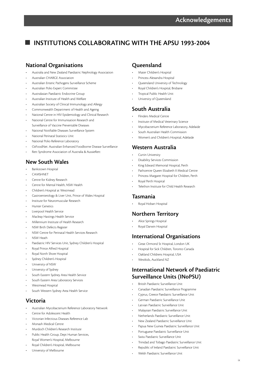# **INSTITUTIONS COLLABORATING WITH THE APSU 1993-2004**

# **National Organisations**

- Australia and New Zealand Paediatric Nephrology Association
- Australian CHARGE Association
- Australian Enteric Pathogens Surveillance Scheme
- Australian Polio Expert Committee
- Australasian Paediatric Endocrine Group
- Australian Institute of Health and Welfare
- Australian Society of Clinical Immunology and Allergy
- Commonwealth Department of Health and Ageing
- National Centre in HIV Epidemiology and Clinical Research
- National Centre for Immunisation Research and
- Surveillance of Vaccine Preventable Diseases
- National Notifiable Diseases Surveillance System
- National Perinatal Statistics Unit
- National Polio Reference Laboratory
- OzFoodNet: Australian Enhanced Foodborne Disease Surveillance
- Rett Syndrome Association of Australia & AussieRett

# **New South Wales**

- Bankstown Hospital
- **CAMSHNET**
- Centre for Kidney Research
- Centre for Mental Health, NSW Health
- Children's Hospital at Westmead
- Gastroenterology & Liver Unit, Prince of Wales Hospital
- Institute for Neuromuscular Research
- **Hunter Genetics**
- Liverpool Health Service
- Macleay Hastings Health Service
- Millennium Institute of Health Research
- NSW Birth Defects Register
- NSW Centre for Perinatal Health Services Research
- NSW Heath
- Paediatric HIV Services Unit, Sydney Children's Hospital
- Royal Prince Alfred Hospital
- Royal North Shore Hospital
- Sydney Children's Hospital
- University of NSW
- University of Sydney
- South Eastern Sydney Area Health Service
- South Eastern Area Laboratory Services
- Westmead Hospital
- South Western Sydney Area Health Service

# **Victoria**

- Australian Mycobacterium Reference Laboratory Network
- Centre for Adolescent Health
- Victorian Infectious Diseases Reference Lab
- Monash Medical Centre
- Murdoch Children's Research Institute
- Public Health Group, Dept Human Services, Royal Women's Hospital, Melbourne
- Royal Children's Hospital, Melbourne
- University of Melbourne

# **Queensland**

- Mater Children's Hospital
- Princess Alexandra Hospital
- Queensland University of Technology
- Royal Children's Hospital, Brisbane
- Tropical Public Health Unit
- University of Queensland

# **South Australia**

- Flinders Medical Centre
- Institute of Medical Veterinary Science
- Mycobacterium Reference Laboratory, Adelaide
- South Australian Health Commission
- Women's and Children's Hospital, Adelaide

# **Western Australia**

- Curtin University
- Disability Services Commission
- King Edward Memorial Hospital, Perth
- Pathcentre Queen Elizabeth II Medical Centre
- Princess Margaret Hospital for Children, Perth
- Royal Perth Hospital
- Telethon Institute for Child Health Research

# **Tasmania**

• Royal Hobart Hospital

# **Northern Territory**

- Alice Springs Hospital
- Royal Darwin Hospital

# **International Organisations**

- Great Ormond St Hospital, London UK
- Hospital for Sick Children, Toronto Canada
- Oakland Childrens Hospital, USA
- Westkids, Auckland NZ

# **International Network of Paediatric Surveillance Units (INoPSU)**

- British Paediatric Surveillance Unit
- Canadian Paediatric Surveillance Programme
- Cyprus, Greece Paediatric Surveillance Unit
- German Paediatric Surveillance Unit
- Latvian Paediatric Surveillance Unit
- Malaysian Paediatric Surveillance Unit
- Netherlands Paediatric Surveillance Unit
- New Zealand Paediatric Surveillance Unit
- Papua New Guinea Paediatric Surveillance Unit
- Portuguese Paediatric Surveillance Unit
- Swiss Paediatric Surveillance Unit
- Trinidad and Tobago Paediatric Surveillance Unit
- Republic of Ireland Paediatric Surveillance Unit
- Welsh Paediatric Surveillance Unit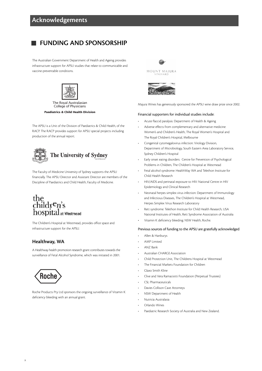# **FUNDING AND SPONSORSHIP**

The Australian Government Department of Health and Ageing provides infrastructure support for APSU studies that relate to communicable and vaccine-preventable conditions.



#### The Royal Australasian College of Physicians

**Paediatrics & Child Health Division**

The APSU is a Unit of the Division of Paediatrics & Child Health, of the RACP. The RACP provides support for APSU special projects including production of the annual report.



The Faculty of Medicine University of Sydney supports the APSU financially. The APSU Director and Assistant Director are members of the Discipline of Paediatrics and Child Health, Faculty of Medicine.

# the<br>children's<br>hospital hospital at Westmead

The Children's Hospital at Westmead, provides office space and infrastructure support for the APSU.

# **Healthway, WA**

A Healthway health promotion research grant contributes towards the surveillance of Fetal Alcohol Syndrome, which was initiated in 2001.



Roche Products Pty Ltd sponsors the ongoing surveillance of Vitamin K deficiency bleeding with an annual grant.



Majura Wines has generously sponsored the APSU wine draw prize since 2002.

#### Financial supporters for individual studies include:

- Acute flaccid paralysis: Department of Health & Ageing
- Adverse effects from complementary and alternative medicine: Women's and Children's Health, The Royal Women's Hospital and The Royal Children's Hospital, Melbourne
- Congenital cytomegalovirus infection: Virology Division, Department of Microbiology, South Eastern Area Laboratory Service, Sydney Children's Hospital
- Early onset eating disorders: Centre for Prevention of Psychological Problems in Children, The Children's Hospital at Westmead
- Fetal alcohol syndrome: HealthWay WA and Telethon Institute for Child Health Research
- HIV/AIDS and perinatal exposure to HIV: National Centre in HIV Epidemiology and Clinical Research
- Neonatal herpes simplex virus infection: Department of Immunology and Infectious Diseases, The Children's Hospital at Westmead, Herpes Simplex Virus Research Laboratory
- Rett syndrome: Telethon Institute for Child Health Research, USA National Institutes of Health, Rett Syndrome Association of Australia
- Vitamin K deficiency bleeding: NSW Health, Roche.

#### Previous sources of funding to the APSU are gratefully acknowledged

- Allen & Hanburys
- AMP Limited
- ANZ Bank
- Australian CHARGE Association
- Child Protection Unit, The Childrens Hospital at Westmead
- The Financial Markets Foundation for Children
- Glaxo Smith Kline
- Clive and Vera Ramaciotti Foundation (Perpetual Trustees)
- CSL Pharmaceuticals
- Davies Collison Cave Attorneys
- NSW Department of Health
- Nutricia Australasia
- Orlando Wines
- Paediatric Research Society of Australia and New Zealand.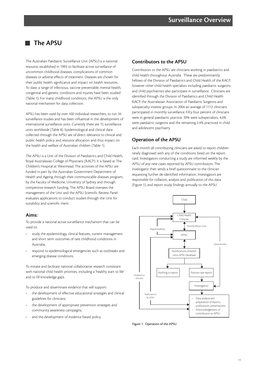# **The APSU**

The Australian Paediatric Surveillance Unit (APSU) is a national resource, established in 1993 to facilitate active surveillance of uncommon childhood diseases, complications of common diseases or adverse effects of treatment. Diseases are chosen for their public health significance and impact on health resources. To date, a range of infectious, vaccine preventable, mental health, congenital and genetic conditions and injuries have been studied (Table 1). For many childhood conditions, the APSU is the only national mechanism for data collection.

APSU has been used by over 160 individual researchers, to run 34 surveillance studies and has been influential in the development of international surveillance units. Currently there are 15 surveillance units worldwide (Table 8). Epidemiological and clinical data collected through the APSU are of direct relevance to clinical and public health policy and resource allocation and thus impact on the health and welfare of Australian children (Table 1).

The APSU is a Unit of the Division of Paediatrics and Child Health, Royal Australasian College of Physicians (RACP). It is based at The Children's Hospital at Westmead. The activities of the APSU are funded in part by the Australian Government Department of Health and Ageing through their communicable diseases program, by the Faculty of Medicine, University of Sydney and through competitive research funding. The APSU Board oversees the management of the Unit and the APSU Scientific Review Panel evaluates applications to conduct studies through the Unit for suitability and scientific merit.

### **Aims:**

To provide a national active surveillance mechanism that can be used to:

- study the epidemiology, clinical features, current management and short term outcomes of rare childhood conditions in Australia;
- respond to epidemiological emergencies such as outbreaks and emerging disease conditions.

To initiate and facilitate national collaborative research consistant with national child health priorities, including a 'healthy start to life' and to fill knowledge gaps.

To produce and disseminate evidence that will support:

- the development of effective educational strategies and clinical guidelines for clinicians;
- the development of appropriate prevention strategies and community awareness campaigns;
- and the development of evidence based policy.

# **Contributors to the APSU**

Contributors to the APSU are clinicians working in paediatrics and child health throughout Australia. These are predominantly Fellows of the Division of Paediatrics and Child Health of the RACP, however other child health specialists including paediatric surgeons and child psychiatrists also participate in surveillance. Clinicians are identified through the Division of Paediatrics and Child Health RACP, the Australasian Association of Paediatric Surgeons and subspecialty interest groups. In 2004 an average of 1112 clinicians participated in monthly surveillance. Fifty four percent of clinicians were in general paediatric practice, 39% were subspecialists, 4.6% were paediatric surgeons and the remaining 2.4% practiced in child and adolescent psychiatry.

# **Operation of the APSU**

Each month all contributing clinicians are asked to report children newly diagnosed with any of the conditions listed on the report card. Investigators conducting a study are informed weekly by the APSU of any new cases reported by APSU contributors. The investigator then sends a brief questionnaire to the clinician requesting further de-identified information. Investigators are responsible for collation, analysis and publication of this data (Figure 1), and report study findings annually to the APSU.



Figure 1. Operation of the APSU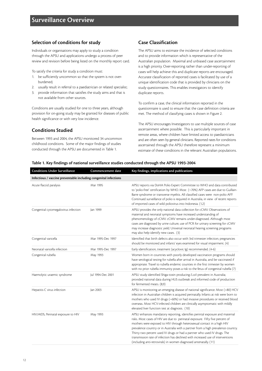# **Selection of conditions for study**

Individuals or organisations may apply to study a condition through the APSU and applications undergo a process of peer review and revision before being listed on the monthly report card.

To satisfy the criteria for study a condition must:

- 1. be sufficiently uncommon so that the system is not overburdened;
- 2. usually result in referral to a paediatrician or related specialist;
- 3. provide information that satisfies the study aims and that is not available from other sources.

Conditions are usually studied for one to three years, although provision for on-going study may be granted for diseases of public health significance or with very low incidence.

# **Conditions Studied**

Between 1993 and 2004, the APSU monitored 34 uncommon childhood conditions. Some of the major findings of studies conducted through the APSU are documented in Table 1.

# **Case Classification**

The APSU aims to estimate the incidence of selected conditions and to provide information which is representative of the Australian population. Maximal and unbiased case ascertainment is a high priority. Over-reporting rather than under-reporting of cases will help achieve this and duplicate reports are encouraged. Accurate classification of reported cases is facilitated by use of a unique identification code that is provided by clinicians on the study questionnaires. This enables investigators to identify duplicate reports.

To confirm a case, the clinical information reported in the questionnaire is used to ensure that the case definition criteria are met. The method of classifying cases is shown in Figure 2.

The APSU encourages Investigators to use multiple sources of case ascertainment where possible. This is particularly important in remote areas, where children have limited access to paediatricians and are often seen by general clinicians. Reported rates for conditions ascertained through the APSU therefore represent a minimum estimate of these conditions in the relevant Australian populations.

#### **Table 1. Key findings of national surveillance studies conducted through the APSU 1993-2004**

| <b>Conditions Under Surveillance</b>                             | Commencement date | Key findings, implications and publications                                                                                                                                                                                                                                                                                                                                                                                                                                                                                                                      |  |
|------------------------------------------------------------------|-------------------|------------------------------------------------------------------------------------------------------------------------------------------------------------------------------------------------------------------------------------------------------------------------------------------------------------------------------------------------------------------------------------------------------------------------------------------------------------------------------------------------------------------------------------------------------------------|--|
| Infectious / vaccine preventable including congenital infections |                   |                                                                                                                                                                                                                                                                                                                                                                                                                                                                                                                                                                  |  |
| Acute flaccid paralysis                                          | Mar 1995          | APSU reports via DoHA Polio Expert Committee to WHO and data contributed<br>to 'polio-free' certification by WHO. Most (~70%) AFP cases are due to Guillain-<br>Barre syndrome or transverse myelitis. All classified cases were non-polio AFP.<br>Continued surveillance of polio is required in Australia, in view of recent reports<br>of imported cases of wild poliovirus into Indonesia. (1,2)                                                                                                                                                             |  |
| Congenital cytomegalovirus infection                             | Jan 1999          | APSU provides the only national data collection for cCMV. Observations of<br>maternal and neonatal symptoms have increased understanding of<br>phenomenology of cCMV. cCMV remains under-diagnosed. Although most<br>cases are diagnosed by urine culture, use of PCR for urinary screening for cCMV<br>may increase diagnostic yield. Universal neonatal hearing screening programs<br>may also help identify new cases. (3)                                                                                                                                    |  |
| Congenital varicella                                             | Mar 1995-Dec 1997 | Identified that birth defects also occur with 3rd trimester infection; pregnancies<br>should be monitored and infants' eyes examined for visual impairment. (4)                                                                                                                                                                                                                                                                                                                                                                                                  |  |
| Neonatal varicella infection                                     | Mar 1995-Dec 1997 | Early identification, treatment (acyclovir, lg) recommended. (4-6)                                                                                                                                                                                                                                                                                                                                                                                                                                                                                               |  |
| Congenital rubella                                               | May 1993          | Women born in countries with poorly developed vaccination programs should<br>have serological testing for rubella after arrival in Australia, and be vaccinated if<br>appropriate. Travel to rubella endemic counties in the first trimester by women<br>with no prior rubella immunity poses a risk to the fetus of congenital rubella (7)                                                                                                                                                                                                                      |  |
| Haemolytic uraemic syndrome                                      | Jul 1994-Dec 2001 | APSU study identified Shiga-toxin producing <i>E.coli</i> prevalent in Australia;<br>provided national data during HUS outbreak and informed code of production<br>for fermented meats. (8,9)                                                                                                                                                                                                                                                                                                                                                                    |  |
| Hepatitis C virus infection                                      | Jan 2003          | APSU is monitoring an emerging disease of national significance. Most (>80) HCV<br>infection in Australian children is acquired perinatally. Infants at risk were born to<br>mothers who used IV drugs (~60%) or had invasive procedures or received blood<br>overseas. Most HCV-infected children are clinically asymptomatic with mildly<br>elevated liver function test at diagnosis. (10)                                                                                                                                                                    |  |
| HIV/AIDS, Perinatal exposure to HIV                              | May 1993          | APSU enhances mandatory reporting, identifies perintal exposure and maternal<br>risks. Most cases of HIV are due to perinatal exposure. Fifty five percent of<br>mothers were exposed to HIV through heterosexual contact in a high HIV<br>prevalence country or in Australia with a partner from a high prevalence country.<br>Thirty two percent used IV drugs or had a partner who used IV drugs. The<br>transmission rate of infection has declined with increased use of interventions<br>(including anti-retrovirals) in women diagnosed antenatally. (11) |  |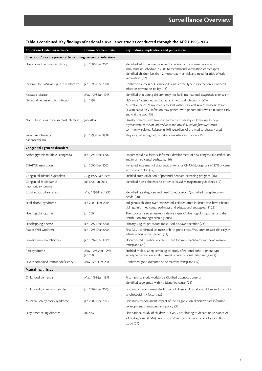| <b>Conditions Under Surveillance</b>                             | <b>Commencement date</b>       | Key findings, implications and publications                                                                                                                                                                                                                   |  |  |
|------------------------------------------------------------------|--------------------------------|---------------------------------------------------------------------------------------------------------------------------------------------------------------------------------------------------------------------------------------------------------------|--|--|
| Infectious / vaccine preventable including congenital infections |                                |                                                                                                                                                                                                                                                               |  |  |
| Hospitalised pertussis in infancy                                | Jan 2001-Dec 2001              | Identified adults as main source of infection and informed revision of<br>immunisation schedule in 2003 to recommend vaccination of teenagers.<br>Identified children less than 2 months at most risk and need for trials of early<br>vaccination. (12)       |  |  |
| Invasive Haemophilus influenzae infection                        | Jan 1998-Dec 2000              | Confirmed success of Haemophilus influenzae Type B vaccination; influenced<br>infection prevention policy. (13)                                                                                                                                               |  |  |
| Kawasaki disease                                                 | May 1993-Jun 1995              | Identified that young children may not fulfil international diagnostic criteria. (14)                                                                                                                                                                         |  |  |
| Neonatal herpes simplex infection                                | lan 1997                       | HSV type 1 identified as the cause of neonatal infection in 50%<br>Australian cases. Many infants present without typical skin or mucosal lesions.<br>Disseminated HSV infection may present with pneumonitis which requires early<br>antiviral therapy. (15) |  |  |
| Non tuberculous mycobacterial infection                          | July 2004                      | Usually presents with lymphadenopathy in healthy children aged < 5 yrs.<br>Mycobacterium avium intracellulare and mycobacterium fortuitum most<br>commonly isolated. Relapse in 10% regardless of the medical therapy used.                                   |  |  |
| Subacute sclerosing<br>panencephalitis                           | Jan 1995-Dec 1998              | Very rare, reflecting high uptake of measles vaccination. (16)                                                                                                                                                                                                |  |  |
| Congenital / genetic disorders                                   |                                |                                                                                                                                                                                                                                                               |  |  |
| Arthrogryposis multiplex congenita                               | Jan 1996-Dec 1998              | Documented risk factors, informed development of new congenital classification<br>and informed causal pathways. (16)                                                                                                                                          |  |  |
| <b>CHARGE</b> association                                        | Jan 2000-Dec 2002              | Increased awareness of diagnostic criteria for CHARGE; diagnosis of 87% of cases<br>in first year of life. (17)                                                                                                                                               |  |  |
| Congenital adrenal hyperplasia                                   | Aug 1995-Dec 1997              | Enabled cross validation of potential neonatal screening program. (18)                                                                                                                                                                                        |  |  |
| Congenital & idiopathic<br>nephrotic syndrome                    | Jul 1998-Jun 2001              | Identified non-adherence to evidence-based management guidelines. (19)                                                                                                                                                                                        |  |  |
| Extrahepatic biliary atresia                                     | May 1993-Dec 1996              | Identified late diagnosis and need for education. Quantified transplantation<br>needs. (20)                                                                                                                                                                   |  |  |
| Fetal alcohol syndrome                                           | Jan 2001- Dec 2004             | Indigenous children over-represented; children often in foster care, have affected<br>siblings. Informed causal pathways and educational strategies. (21,22)                                                                                                  |  |  |
| Haemoglobinopathies                                              | Jan 2004                       | The study aims to estimate incidence, types of Haemoglobinopathies and the<br>distribution amongst ethnic groups.                                                                                                                                             |  |  |
| Hirschsprung disease                                             | Jan 1997-Dec 2000              | Primary surgical procedure most used is Soave operation.(23)                                                                                                                                                                                                  |  |  |
| Prader-Willi syndrome                                            | Jan 1998-Dec 2000              | First DNA confirmed estimate of birth prevalence. PWS often missed clinically in<br>$infants - education needed. (24)$                                                                                                                                        |  |  |
| Primary immunodeficiency                                         | Jan 1997-Dec 1999              | Documented numbers affected, need for immunotherapy and bone marrow<br>transplant. (22)                                                                                                                                                                       |  |  |
| Rett syndrome                                                    | May 1993-Apr 1995;<br>Jan 2000 | Enabled molecular epidemiological study of national cohort, phenotype/<br>genotype correlation; establishment of international database. (25-27)                                                                                                              |  |  |
| Severe combined immunodeficiency                                 | May 1995-Dec 2001              | Confirmed good outcome bone marrow transplant. (17)                                                                                                                                                                                                           |  |  |
| Mental health issue                                              |                                |                                                                                                                                                                                                                                                               |  |  |
| Childhood dementia                                               | May 1993-Jun 1995              | First national study worldwide. Clarified diagnostic criteria,<br>identified large group with no identified cause. (28)                                                                                                                                       |  |  |
| Childhood conversion disorder                                    | Jan 2002-Dec 2003              | First study to document the burden of illness in Australian children and to clarify<br>psychosocial risk factors. (29)                                                                                                                                        |  |  |
| Munchausen by proxy syndrome                                     | Jan 2000-Dec 2003              | First study to document impact of the diagnosis on clinicians; data informed<br>development of management policy. (30)                                                                                                                                        |  |  |
| Early onset eating disorder                                      | Jul 2002                       | First national study of children <13 yrs. Contributing to debate on relevance of<br>adult diagnostic (DSM) criteria to children. Simultaneous Canadian and British<br>study. (29)                                                                             |  |  |

# **Table 1 continued. Key findings of national surveillance studies conducted through the APSU 1993-2004**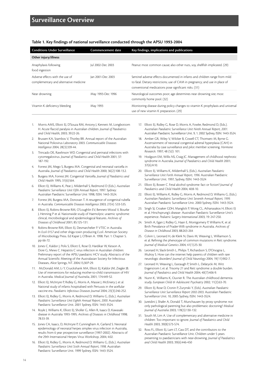| <b>Conditions Under Surveillance</b>                                      | Commencement date | Key findings, implications and publications                                                                                                                                                                          |
|---------------------------------------------------------------------------|-------------------|----------------------------------------------------------------------------------------------------------------------------------------------------------------------------------------------------------------------|
| Other injury/illness                                                      |                   |                                                                                                                                                                                                                      |
| Anaphylaxis following<br>food ingestion                                   | Jul 2002-Dec 2003 | Peanut most common cause; also other nuts, soy, shellfish implicated. (29)                                                                                                                                           |
| Adverse effects with the use of<br>complementary and alternative medicine | lan 2001-Dec 2003 | Sentinel adverse effects documented in infants and children range from mild<br>to fatal. Dietary restrictions; use of CAM in pregnancy; and use in place of<br>conventional medications pose significant risks. (31) |
| Near drowning                                                             | May 1993-Dec 1996 | Neurological outcomes poor; age determines near drowning site; most<br>commonly home pool. (32)                                                                                                                      |
| Vitamin K deficiency bleeding                                             | May 1993          | Monitoring disease during policy changes to vitamin K prophylaxis and universal<br>use of new vitamin K preparation. (29)                                                                                            |

**Table 1. Key findings of national surveillance conducted through the APSU 1993-2004**

- 1. Morris AMS, Elliott EJ, D'Souza RM, Antony J, Kennett M, Longbottom H. Acute flaccid paralysis in Australian children. *Journal of Paediatrics and Child Health*, 2003; 39:22-26.
- 2. Brussen KA, Stambos V, Thorley BR. Annual report of the Australian National Poliovirus Laboratory 2003. *Communicable Diseases Intelligence* 2004; 28(3):339-44.
- 3. Trincado DE, Rawlinson WD. Congenital and perinatal infections with cytomegalovirus. *Journal of Paediatrics and Child Health* 2001; 37: 187-192.
- 4. Forrest JM, Mego S, Burgess MA. Congenital and neonatal varicella in Australia. *Journal of Paediatrics and Child Health* 2000; 36(2):108-13.2.
- 5. Burgess MA, Forrest JM. Congenital Varicella. *Journal of Paediatrics and Child Health* 1995; 31(6):564.
- 6. Elliott EJ, Williams K, Peat J, Mildenhall S, Redmond D (Eds.). *Australian Paediatric Surveillance Unit Fifth Annual Report*, 1997. Sydney: Australian Paediatric Surveillance Unit 1998, ISSN: 1443-3524.
- Forrest JM, Burgess MA, Donovan T. A resurgence of congenital rubella in Australia. *Communicable Diseases Intelligence* 2003; 27(4): 533-535.
- Elliott EJ, Robins-Browne RM, O'Loughlin EV, Bennett-Wood V, Bourke J, Henning P et al. Nationwide study of Haemolytic uraemic syndrome: clinical, microbiological and epidemiological features. *Archives of Diseases of Childhood* 2001; 85:125-131.
- 9. Robins-Browne RM, Elliott EJ, Desmarchelier P. VTEC in Australia. In *Ecoli 0157* and other shiga toxin producing *E.coli*. American Society of Microbiology Press. Ed Kaper J, O'Brien A. 1998. Part 1: Chapter 5. pp 66-72.
- 10. Jones C, Kaldor J, Polis S, Elliott E, Rose D, Hardikar W, Kesson A, Dore G, Mews C. Hepatitis C virus infection in Australian children: Preliminary report of the APSU paediatric HCV study. Abstracts of the Annual Scientific Meeting of the Australasian Society for Infectious Diseases, Alice Springs, NT. 2004;13,30:P-29.
- 11. McDonald AM, Li Y, Cruickshank MA, Elliott EJ, Kaldor JM, Ziegler JB. Use of interventions for reducing mother-to-child transmission of HIV in Australia. *Medical Journal of Australia*, 2001; 174:449-52.
- 12. Elliott EJ, McIntyre P, Ridley G, Morris A, Massie J, McEniery J, et al. National study of infants hospitalised with Pertussis in the acellular vaccine era. *Paediatric Infectious Diseases Journal* 2004; 23(3):246-252.
- 13. Elliott EJ, Ridley G, Morris A, Redmond D, Williams G, (Eds.). *Australian Paediatric Surveillance Unit Eighth Annual Report, 2000.* Australian Paediatric Surveillance Unit. 2001 Sydney, ISSN: 1443-3524.
- 14. Royle J, Williams K, Elliott EJ, Sholler G, Allen R, Isaacs D, Kawasaki disease in Australia 1993-1995. *Archives of Diseases in Childhood* 1998; 78:33-39.
- 15. Jones CA, Isaacs, D, McIntyre P, Cunningham A, Garland S. Neonatal epidemiology of neonatal herpes simplex virus infection in Australia, results from 6 year prospective surveillance (1997-2002). Abstracts of the 29th International Herpes Virus Workshop, 2004; 4:02.
- 16. Elliott EJ, Ridley G, Morris A, Redmond D, Williams G, (Eds.). *Australian Paediatric Surveillance Unit Sixth Annual Report, 1998.* Australian Paediatric Surveillance Unit. 1999 Sydney, ISSN: 1443-3524.
- 17. Elliott EJ, Ridley G, Rose D, Morris A, Fowler, Redmond D, (Eds.). *Australian Paediatric Surveillance Unit Ninth Annual Report, 2001.* Australian Paediatric Surveillance Unit. 9, 1. 2002 Sydney, ISSN: 1443-3524.
- 18. Amber GR, Wiley V, Wilcker B, Cowell CT, Thomsett M, Byrne G. Ascertainment of neonatal congenital adrenal hyperplasia (CAH) in Australia by case surveillance and pilot member screening. *Hormone Research*. 1997; 48 (52): 101.
- 19. Hodgson EM, Willis NS, Craig JC. Management of childhood nephrotic syndrome in Australia. *Journal of Paediatrics and Child Health* 2001; 37(6):A10.
- 20. Elliott EJ, Williams K, Mildenhall S, (Eds.). *Australian Paediatric Surveillance Unit Forth Annual Report, 1996.* Australian Paediatric Surveillance Unit. 1997, Sydney, ISSN: 1443-3524
- 21. Elliott EJ, Bower C. Fetal alcohol syndrome: fact or fiction? *Journal of Paediatrics and Child Health* 2004; 40:8-10.
- 22. Elliott EJ, Williams K, Ridley G, Morris A, Redmond D, Williams G, (Eds.). *Australian Paediatric Surveillance Unit Seventh Annual Report, 1999.* Australian Paediatric Surveillance Unit. 2000 Sydney, ISSN: 1443-3524.
- 23. Singh SJ, Croaker GDH, Manglick P, Wong CL, Athanasakos H, Elliott EJ et al. Hirschsprung's disease- Australian Paediatric Surveillance Unit's experience. *Pediatric Surgery International* 2003; 19: 247-250.
- 24. Smith A, Egan J, Ridley G, Haan E, Montgomery P, Williams K, et al. Birth Prevalance of Prader-Willi syndrome in Australia. *Archives of Disease in Childhood* 2003; 88:263-264
- 25. Colvin L, Leonard H, de Klerk N, Davis M, Weaving L, Williamson S, et al. Refining the phenotype of common mutations in Rett syndrome. *Journal of Medical Genetics* 2004; 41(1):25-30.
- 26. Leonard H, Slack-Smith L, Philips T, Richardson S, D'Orsogna L, Mulroy S. How can the internet help parents of children with rare neurologic disorders? *Journal of Child Neurology* 2004; 19(11):902-7.
- 27. Leonard H, Weaving L, Eastaugh P, Smith L, Delatycki M, Witt Engerstrom I, et al. Trisomy 21 and Rett syndrome: a double burden. *Journal of Paediatrics and Child Health* 2004; 40(7):406-9.
- 28. Nunn K, Williams K, Ouvrier R. The Australian childhood dementia study. *European Child & Adolescent Psychiatry* 2002; 11(2):63-70.
- 29. Elliott EJ, Rose D, Cronin P, Zurynski Y, (Eds). *Australian Paediatric Surveillance Unit Surveillance Report 2002-2003.* Australian Paediatric Surveillance Unit. 10, 2005 Sydney, ISSN: 1443-3524.
- 30. Jureidini J, Shafer A, Donald T, Munchausen by proxy syndrome: not only pathological parenting but also problematic doctoring? *Medical Journal of Australia* 2003; 178(3):130-132.
- 31. South M, Lim A. Use of complementary and alternative medicine in children: Too important to ignore. *Journal of Paediatrics and Child Health* 2003, 39(8):573-574.
- 32. Ross FL, Elliott EJ, Lam LT, Cass DT, and the contributors to the Australian Paediatric Surveillance Unit. Children under 5 years presenting to paediatricians with near-drowning. *Journal of Paediatrics and Child Health* 2003; 39(6):446-450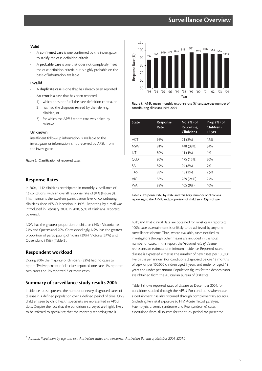# **Surveillance Overview**

#### **Valid**

- A confirmed case is one confirmed by the investigator to satisfy the case definition criteria.
- A probable case is one that does not completely meet the case definition criteria but is highly probable on the basis of information available.

#### **Invalid**

- A duplicate case is one that has already been reported
- An error is a case that has been reported:
	- 1) which does not fulfil the case definition criteria, or
	- 2) has had the diagnosis revised by the referring clinician, or
	- 3) for which the APSU report card was ticked by mistake.

#### **Unknown**

insufficient follow-up information is available to the investigator or information is not received by APSU from the investigator.

Figure 2. Classification of reported cases

#### **Response Rates**

In 2004, 1112 clinicians participated in monthly surveillance of 13 conditions, with an overall response rate of 94% (Figure 3). This maintains the excellent participation level of contributing clinicians since APSU's inception in 1993. Reporting by e-mail was introduced in February 2001. In 2004, 55% of clinicians reported by e-mail.

NSW has the greatest proportion of children (34%), Victoria has 24% and Queensland 20%. Correspondingly, NSW has the greatest proportion of participating clinicians (39%), Victoria (24%) and Queensland (15%) (Table 2).

#### **Respondent workload**

During 2004 the majority of clinicians (82%) had no cases to report. Twelve percent of clinicians reported one case, 4% reported two cases and 2% reported 3 or more cases.

#### **Summary of surveillance study results 2004**

Incidence rates represent the number of newly diagnosed cases of disease in a defined population over a defined period of time. Only children seen by child health specialists are represented in APSU data. Despite the fact that the conditions surveyed are highly likely to be referred to specialists; that the monthly reporting rate is



Figure 3. APSU mean monthly response rate (%) and average number of contributing clinicians 1993-2004

| <b>State</b> | Response<br>Rate | No. (%) of<br>Reporting<br><b>Clinicians</b> | Prop $(\%)$ of<br>Children <<br>15 yrs |
|--------------|------------------|----------------------------------------------|----------------------------------------|
| <b>ACT</b>   | 95%              | 21(2%)                                       | 1.5%                                   |
| <b>NSW</b>   | 91%              | 448 (39%)                                    | 34%                                    |
| ΝT           | 80%              | 11(1%)                                       | 1%                                     |
| <b>OLD</b>   | 90%              | 175 (15%)                                    | 20%                                    |
| SA           | 89%              | 94 (8%)                                      | 7%                                     |
| <b>TAS</b>   | 98%              | 15 (2%)                                      | 2.5%                                   |
| VIC.         | 88%              | 269 (24%)                                    | 24%                                    |
| <b>WA</b>    | 88%              | 105 (9%)                                     | 10%                                    |

Table 2. Response rate; by state and territory; number of clinicians reporting to the APSU; and proportion of children < 15yrs of age.

high; and that clinical data are obtained for most cases reported; 100% case ascertainment is unlikely to be achieved by any one surveillance scheme. Thus, where available, cases notified to investigators through other means are included in the total number of cases. In this report the '*reported rate of disease*' represents an estimate of minimum incidence. Reported rate of disease is expressed either as the number of new cases per 100,000 live births per annum (for conditions diagnosed before 12 months of age), or per 100,000 children aged 5 years and under or aged 15 years and under per annum. Population figures for the denominator are obtained from the Australian Bureau of Statistics $^{\rm 1}.$ 

Table 3 shows reported rates of disease to December 2004, for conditions studied through the APSU. For conditions where case ascertainment has also occurred through complementary sources, (including Perinatal exposure to HIV, Acute flaccid paralysis, Haemolytic uraemic syndrome and Rett syndrome) cases ascertained from all sources for the study period are presented.

<sup>1</sup> Austats: *Population by age and sex, Australian states and territories. Australian Bureau of Statistics 2004: 3201.0*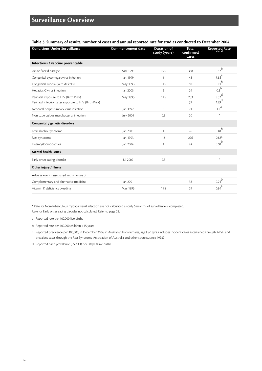| Table 3. Summary of results, number of cases and annual reported rate for studies conducted to December 2004 |  |
|--------------------------------------------------------------------------------------------------------------|--|
|--------------------------------------------------------------------------------------------------------------|--|

| <b>Conditions Under Surveillance</b>                                                             | <b>Commencement date</b> | <b>Duration of</b><br>study (years) | <b>Total</b><br>confirmed<br>cases | <b>Reported Rate</b>                       |
|--------------------------------------------------------------------------------------------------|--------------------------|-------------------------------------|------------------------------------|--------------------------------------------|
| Infectious / vaccine preventable                                                                 |                          |                                     |                                    |                                            |
| Acute flaccid paralysis                                                                          | Mar 1995                 | 9.75                                | 338                                | 0.87 <sup>b</sup>                          |
| Congenital cytomegalovirus infection                                                             | Jan 1999                 | 6                                   | 48                                 | $3.85^{a}$                                 |
| Congenital rubella (with defects)                                                                | May 1993                 | 11.5                                | 50                                 | 0.11 <sup>b</sup>                          |
| Hepatitis C virus infection                                                                      | Jan 2003                 | $\overline{2}$                      | 24                                 | 0.3 <sup>b</sup>                           |
| Perinatal exposure to HIV (Birth Prev)<br>Perinatal infection after exposure to HIV (Birth Prev) | May 1993                 | 11.5                                | 253<br>39                          | $8.37$ <sup>d</sup><br>$1.29$ <sup>d</sup> |
| Neonatal herpes simplex virus infection                                                          | Jan 1997                 | 8                                   | 71                                 | 4.1 <sup>a</sup>                           |
| Non tuberculous mycobacterial infection                                                          | <b>July 2004</b>         | 0.5                                 | 20                                 | $\ast$                                     |
| Congenital / genetic disorders                                                                   |                          |                                     |                                    |                                            |
| Fetal alcohol syndrome                                                                           | Jan 2001                 | 4                                   | 76                                 | $0.48^{b}$                                 |
| Rett syndrome                                                                                    | Jan 1993                 | 12                                  | 276                                | $0.88^{\sf C}$                             |
| Haemoglobinopathies                                                                              | Jan 2004                 | 1                                   | 24                                 | 0.60 <sup>b</sup>                          |
| <b>Mental health issues</b>                                                                      |                          |                                     |                                    |                                            |
| Early onset eating disorder                                                                      | Jul 2002                 | 2.5                                 |                                    | $\ast$                                     |
| Other injury / illness                                                                           |                          |                                     |                                    |                                            |
| Adverse events associated with the use of                                                        |                          |                                     |                                    |                                            |
| Complementary and alternative medicine                                                           | Jan 2001                 | 4                                   | 38                                 | $0.24^{b}$                                 |
| Vitamin K deficiency bleeding                                                                    | May 1993                 | 11.5                                | 29                                 | 0.99 <sup>a</sup>                          |

\* Rate for Non-Tuberculous mycobacterial infection are not calculated as only 6 months of surveillance is completed. Rate for Early onset eating disorder not calculated. Refer to page 22.

a Reported rate per 100,000 live births

b Reported rate per 100,000 children <15 years

c Reported prevalence per 100,000, in December 2004, in Australian born females, aged 5-18yrs. (includes incident cases ascertained through APSU and prevalent cases through the Rett Syndrome Association of Australia and other sources, since 1993)

d Reported birth prevalence (95% CI) per 100,000 live births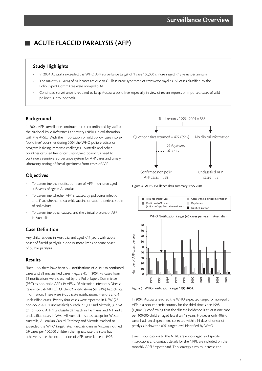# **ACUTE FLACCID PARALYSIS (AFP)**

### **Study Highlights**

- In 2004 Australia exceeded the WHO AFP surveillance target of 1 case 100,000 children aged <15 years per annum.
- The majority (~70%) of AFP cases are due to Guillain-Barre syndrome or transverse myelitis. All cases classified by the Polio Expert Committee were non-polio AFP<sup>1</sup>. .
- Continued surveillance is required to keep Australia polio free, especially in view of recent reports of imported cases of wild poliovirus into Indonesia.

# **Background**

In 2004, AFP surveillance continued to be co-ordinated by staff at the National Polio Reference Laboratory (NPRL) in collaboration with the APSU. With the importation of wild polioviruses into six "polio free" countries during 2004 the WHO polio eradication program is facing immense challenges. Australia and other countries certified free of circulating wild poliovirus need to continue a sensitive surveillance system for AFP cases and timely laboratory testing of faecal specimens from cases of AFP.

# **Objectives**

- To determine the notification rate of AFP in children aged <15 years of age in Australia;
- To determine whether AFP is caused by poliovirus infection and, if so, whether it is a wild, vaccine or vaccine-derived strain of poliovirus;
- To determine other causes, and the clinical picture, of AFP in Australia.

# **Case Definition**

Any child resident in Australia and aged <15 years with acute onset of flaccid paralysis in one or more limbs or acute onset of bulbar paralysis.

# **Results**

Since 1995 there have been 535 notifications of AFP (338 confirmed cases and 58 unclassified cases) (Figure 4). In 2004, 45 cases from 62 notifications were classified by the Polio Expert Committee (PEC) as non-polio AFP (19 APSU, 26 Victorian Infectious Disease Reference Lab VIDRL). Of the 62 notifications 58 (94%) had clinical information. There were 9 duplicate notifications, 4 errors and 4 unclassified cases. Twenty four cases were reported in NSW (23 non-polio AFP, 1 unclassified), 9 each in QLD and Victoria, 3 in SA (2 non-polio AFP, 1 unclassified) 1 each in Tasmania and NT and 2 unclassified cases in WA. All Australian states except for Western Australia, Australian Capital Territory and Victoria reached or exceeded the WHO target rate. Paediatricians in Victoria notified 0.9 cases per 100,000 children the highest rate the state has achieved since the introduction of AFP surveillance in 1995.



Figure 4. AFP surveillance data summary 1995-2004





In 2004, Australia reached the WHO expected target for non-polio AFP in a non-endemic country for the third time since 1995 (Figure 5), confirming that the disease incidence is at least one case per 100,000 children aged less than 15 years. However only 40% of cases had faecal specimens collected within 14 days of onset of paralysis, below the 80% target level identified by WHO.

Direct notifications to the NPRL are encouraged and specific instructions and contact details for the NPRL are included on the monthly APSU report card. This strategy aims to increase the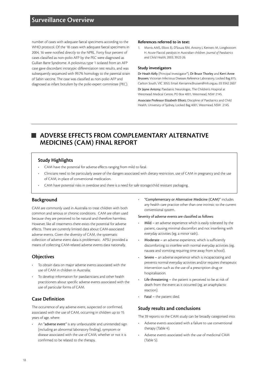# **Surveillance Overview**

number of cases with adequate faecal specimens according to the WHO protocol. Of the 18 cases with adequate faecal specimens in 2004, 16 were notified directly to the NPRL. Forty four percent of cases classified as non-polio AFP by the PEC were diagnosed as Gullian Barre Syndrome. A poliovirus type 1 isolated from an AFP case gave discordant intratypic differentiation test results, and was subsequently sequenced with 99.7% homology to the parental strain of Sabin vaccine. The case was classified as non-polio AFP and diagnosed as infant botulism by the polio expert committee (PEC).

#### **References referred to in text:**

1. Morris AMS, Elliott EJ, D'Souza RM, Antony J, Kennett M, Longbottom H. Acute Flaccid paralysis in Australian children. *Journal of Paediatrics and Child Health*, 2003; 39:22-26.

#### **Study investigators**

Dr Heath Kelly (Principal Investigator\*), Dr Bruce Thorley and Kerri Anne Brussen; Victorian Infectious Diseases Reference Laboratory, Locked Bag 815, Carlton South, VIC 3053. Email: Kerrianne.Brussen@mh.org.au. 03 9342 2607

Dr Jayne Antony; Paediatric Neurologist, The Children's Hospital at Westmead Medical Centre, PO Box 4001, Westmead, NSW 2145.

Associate Professor Elizabeth Elliott; Discipline of Paediatrics and Child Health, University of Sydney, Locked Bag 4001, Westmead, NSW 2145.

# **ADVERSE EFFECTS FROM COMPLEMENTARY ALTERNATIVE MEDICINES (CAM) FINAL REPORT**

# **Study Highlights**

- CAM have the potential for adverse effects ranging from mild to fatal.
- Clinicians need to be particularly aware of the dangers associated with dietary restriction, use of CAM in pregnancy and the use of CAM, in place of conventional medication.
- CAM have potential risks in overdose and there is a need for safe storage/child resistant packaging.

#### **Background**

CAM are commonly used in Australia to treat children with both common and serious or chronic conditions. CAM are often used because they are perceived to be natural and therefore harmless. However, like all treatments there exists the potential for adverse effects. There are currently limited data about CAM-associated adverse events. Given the diversity of CAM, the systematic collection of adverse event data is problematic. APSU provided a means of collecting CAM-related adverse events data nationally.

# **Objectives**

- To obtain data on major adverse events associated with the use of CAM in children in Australia;
- To develop information for paediatricians and other health practitioners about specific adverse events associated with the use of particular forms of CAM.

# **Case Definition**

The occurrence of any adverse event, suspected or confirmed, associated with the use of CAM, occurring in children up to 15 years of age, where:

An "adverse event" is any unfavourable and unintended sign (including an abnormal laboratory finding), symptom or disease associated with the use of CAM, whether or not it is confirmed to be related to the therapy.

• "Complementary or Alternative Medicine (CAM)" includes any health care practice other than one intrinsic to the current conventional system.

#### Severity of adverse events are classified as follows:

- Mild an adverse experience which is easily tolerated by the patient, causing minimal discomfort and not interfering with everyday activities (eg. a minor rash).
- Moderate an adverse experience, which is sufficiently discomforting to interfere with normal everyday activities (eg. nausea and vomiting requiring time away from school).
- Severe an adverse experience which is incapacitating and prevents normal everyday activities and/or requires therapeutic intervention such as the use of a prescription drug or hospitalisation.
- Life threatening the patient is perceived to be at risk of death from the event as it occurred (eg. an anaphylactic reaction).
- Fatal the patient died.

#### **Study results and conclusions**

The 39 reports to the CAM study can be broadly categorised into:

- Adverse events associated with a failure to use conventional therapy (Table 4).
- Adverse events associated with the use of medicinal CAM (Table 5).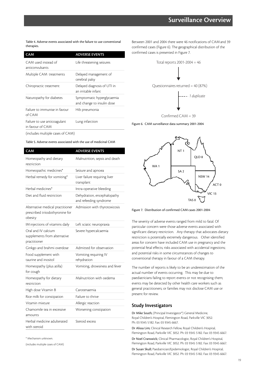Table 4. Adverse events associated with the failure to use conventional therapies.

| <b>CAM</b>                                                                                                                                                                                                                      | <b>ADVERSE EVENTS</b>                                    |
|---------------------------------------------------------------------------------------------------------------------------------------------------------------------------------------------------------------------------------|----------------------------------------------------------|
| CAM used instead of<br>anticonvulsants                                                                                                                                                                                          | Life threatening seizures                                |
| Multiple CAM treatments                                                                                                                                                                                                         | Delayed management of<br>cerebral palsy                  |
| Chiropractic treatment                                                                                                                                                                                                          | Delayed diagnosis of UTI in<br>an irritable infant       |
| Naturopathy for diabetes                                                                                                                                                                                                        | Symptomatic hyperglycaemia<br>and change to insulin dose |
| Failure to immunise in favour<br>of CAM                                                                                                                                                                                         | Hib pneumonia                                            |
| Failure to use anticoagulant<br>in favour of CAM                                                                                                                                                                                | Lung infarction                                          |
| $\sqrt{2}$ and the set of the set of the set of the set of the set of the set of the set of the set of the set of the set of the set of the set of the set of the set of the set of the set of the set of the set of the set of |                                                          |

Between 2001 and 2004 there were 46 notifications of CAM and 39 confirmed cases (Figure 6). The geographical distribution of the confirmed cases is presented in Figure 7.



Figure 6. CAM surveillance data summary 2001-2004

(includes multiple cases of CAM)

Table 5. Adverse events associated with the use of medicinal CAM

| CAM                                                                            | <b>ADVERSE EVENTS</b>                                 |
|--------------------------------------------------------------------------------|-------------------------------------------------------|
| Homeopathy and dietary<br>restriction                                          | Malnutrition, sepsis and death                        |
| Homeopathic medicines*                                                         | Seizure and apnoea                                    |
| Herbal remedy for vomiting*                                                    | Liver failure requiring liver<br>transplant           |
| Herbal medicines*                                                              | Intra-operative bleeding                              |
| Diet and fluid restriction                                                     | Dehydration, encephalopathy<br>and refeeding syndrome |
| Alternative medical practitioner<br>prescribed triiodothyronine for<br>obesity | Admission with thyrotoxicosis                         |
| IM injections of vitamins daily                                                | Left sciatic neuropraxia                              |
| Oral and IV calcium<br>supplements from alternative<br>practitioner            | Severe hypercalcaemia                                 |
| Ginkgo and brahmi overdose                                                     | Admitted for observation                              |
| Food supplement with<br>taurine and inositol                                   | Vomiting requiring IV<br>rehydration                  |
| Homeopathy (plus atilla)<br>for cough                                          | Vomiting, drowsiness and fever                        |
| Homeopathy for dietary<br>restriction                                          | Malnutrition with oedema                              |
| High dose Vitamin B                                                            | Carotenaemia                                          |
| Rice milk for constipation                                                     | Failure to thrive                                     |
| Vitamin mixture                                                                | Allergic reaction                                     |
| Chamomile tea in excessive<br>amounts                                          | Worsening constipation                                |
| Herbal medicine adulterated<br>with steroid                                    | Steroid excess                                        |

\* Mechanism unknown.

(includes multiple cases of CAM)



Figure 7. Distribution of confirmed CAM cases 2001-2004

The severity of adverse events ranged from mild to fatal. Of particular concern were those adverse events associated with significant dietary restriction. Any therapy that advocates dietary restriction is potentially extremely dangerous. Other identified areas for concern have included CAM use in pregnancy and the potential fetal effects; risks associated with accidental ingestions; and potential risks in some circumstances of changes to conventional therapy in favour of a CAM therapy.

The number of reports is likely to be an underestimation of the actual number of events occurring. This may be due to paediatricians failing to report events or not recognising them; events may be detected by other health care workers such as general practitioners; or families may not disclose CAM use or present for review.

### **Study Investigators**

Dr Mike South; (Principal Investigator\*) General Medicine, Royal Children's Hospital, Flemington Road, Parkville VIC 3052. Ph: 03 9345 5182. Fax: 03 9345 6667.

Dr Alissa Lim; Clinical Research Fellow, Royal Children's Hospital, Flemington Road, Parkville VIC 3052. Ph: 03 9345 5182. Fax: 03 9345 6667.

Dr Noel Cranswick; Clinical Pharmacologist, Royal Children's Hospital, Flemington Road, Parkville VIC 3052. Ph: 03 9345 5182. Fax: 03 9345 6667.

Dr Susan Skull; Paediatrician/Epidemiologist, Royal Children's Hospital, Flemington Road, Parkville VIC 3052. Ph: 03 9345 5182. Fax: 03 9345 6667.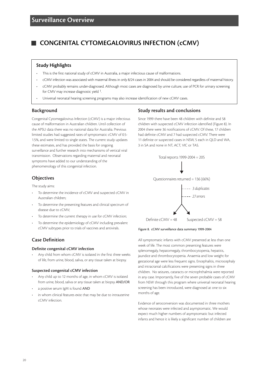# **CONGENITAL CYTOMEGALOVIRUS INFECTION (cCMV)**

### **Study Highlights**

- This is the first national study of cCMV in Australia, a major infectious cause of malformations.
- cCMV infection was associated with maternal illness in only 8/24 cases in 2004 and should be considered regardless of maternal history.
- cCMV probably remains under-diagnosed. Although most cases are diagnosed by urine culture, use of PCR for urinary screening for CMV may increase diagnostic yield 1.
- Universal neonatal hearing screening programs may also increase identification of new cCMV cases.

### **Background**

Congenital Cytomegalovirus Infection (cCMV) is a major infectious cause of malformation in Australian children. Until collection of the APSU data there was no national data for Australia. Previous limited studies had suggested rates of symptomatic cCMV of 0.5- 1.5%, and were limited to single states. The current study updates these estimates, and has provided the basis for ongoing surveillance and further research into mechanisms of vertical viral transmission. Observations regarding maternal and neonatal symptoms have added to our understanding of the phenomenology of this congenital infection.

# **Objectives**

The study aims:

- To determine the incidence of cCMV and suspected cCMV in Australian children;
- To determine the presenting features and clinical spectrum of disease due to cCMV;
- To determine the current therapy in use for cCMV infection;
- To determine the epidemiology of cCMV including prevalent cCMV subtypes prior to trials of vaccines and antivirals.

# **Case Definition**

#### **Definite congenital cCMV infection**

Any child from whom cCMV is isolated in the first three weeks of life, from urine, blood, saliva, or any tissue taken at biopsy.

#### **Suspected congenital cCMV infection**

- Any child up to 12 months of age, in whom cCMV is isolated from urine, blood, saliva or any tissue taken at biopsy AND/OR
- a positive serum IgM is found AND
- in whom clinical features exist that may be due to intrauterine cCMV infection.

# **Study results and conclusions**

Since 1999 there have been 48 children with definite and 58 children with suspected cCMV infection identified (Figure 8). In 2004 there were 36 notifications of cCMV. Of these, 17 children had definite cCMV and 7 had suspected cCMV. There were 11 definite or suspected cases in NSW, 5 each in QLD and WA, 3 in SA and none in NT, ACT, VIC or TAS.



#### Figure 8. cCMV surveillance data summary 1999-2004

All symptomatic infants with cCMV presented at less than one week of life. The most common presenting features were splenomegaly, hepatomegaly, thrombocytopenia, hepatitis, jaundice and thrombocytopenia. Anaemia and low weight for gestational age were less frequent signs. Encephalitis, microcephaly and intracranial calcifications were presenting signs in three children. No seizures, cataracts or microphthalmia were reported in any case. Importantly, five of the seven probable cases of cCMV from NSW through this program where universal neonatal hearing screening has been introduced, were diagnosed at one to six months of age.

Evidence of seroconversion was documented in three mothers whose neonates were infected and asymptomatic. We would expect much higher numbers of asymptomatic but infected infants and hence it is likely a significant number of children are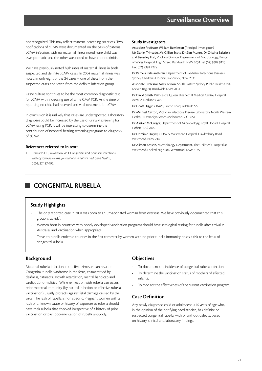not recognized. This may reflect maternal screening practices. Two notifications of cCMV were documented on the basis of paternal cCMV infection, with no maternal illness noted -one child was asymptomatic and the other was noted to have chorioretinitis.

We have previously noted high rates of maternal illness in both suspected and definite cCMV cases. In 2004 maternal illness was noted in only eight of the 24 cases – one of these from the suspected cases and seven from the definite infection group.

Urine culture continues to be the most common diagnostic test for cCMV with increasing use of urine CMV PCR. At the time of reporting no child had received anti viral treatment for cCMV.

In conclusion it is unlikely that cases are underreported. Laboratory diagnoses could be increased by the use of urinary screening for cCMV, using PCR. It will be interesting to determine the contribution of neonatal hearing screening programs to diagnosis of cCMV.

#### **References referred to in text:**

1. Trincado DE, Rawlinson WD. Congenital and perinatal infections with cytomegalovirus. *Journal of Paediatrics and Child Health*, 2001; 37:187-192.

#### **Study Investigators**

Associate Professor William Rawlinson (Principal Investigator), Mr Daniel Trincado, Ms Gillian Scott, Dr Sian Munro, Dr Cristina Baleriola and Beverley Hall; Virology Division, Department of Microbiology, Prince of Wales Hospital, High Street, Randwick, NSW 2031 Tel: (02) 9382 9113 Fax: (02) 9398 4275.

Dr Pamela Palasanthiran; Department of Paediatric Infectious Diseases, Sydney Children's Hospital, Randwick, NSW 2031.

Associate Professor Mark Ferson; South Eastern Sydney Public Health Unit, Locked Bag 88, Randwick, NSW 2031.

Dr David Smith; Pathcentre Queen Elizabeth II Medical Centre, Hospital Avenue, Nedlands WA.

Dr Geoff Higgins, IMVS, Frome Road, Adelaide SA.

Dr Michael Catton, Victorian Infectious Disease Laboratory, North Western Health, 10 Wreckyn Street, Melbourne, VIC 3051.

Dr Alistair McGregor, Department of Microbiology, Royal Hobart Hospital, Hobart, TAS 7000.

Dr Dominic Dwyer, CIDMLS, Westmead Hospital, Hawkesbury Road, Westmead, NSW 2145.

Dr Alisson Kesson, Microbiology Department, The Children's Hospital at Westmead, Locked Bag 4001, Westmead, NSW 2145

# **CONGENITAL RUBELLA**

# **Study Highlights**

- The only reported case in 2004 was born to an unvaccinated woman born overseas. We have previously documented that this group is 'at risk'<sup>1</sup>.
- Women born in countries with poorly developed vaccination programs should have serological testing for rubella after arrival in Australia, and vaccination when appropriate.
- Travel to rubella endemic counties in the first trimester by women with no prior rubella immunity poses a risk to the fetus of congenital rubella.

# **Background**

Maternal rubella infection in the first trimester can result in Congenital rubella syndrome in the fetus, characterised by deafness, cataracts, growth retardation, mental handicap and cardiac abnormalities. While reinfection with rubella can occur, prior maternal immunity (by natural infection or effective rubella vaccination) usually protects against fetal damage caused by the virus. The rash of rubella is non specific. Pregnant women with a rash of unknown cause or history of exposure to rubella should have their rubella titre checked irrespective of a history of prior vaccination or past documentation of rubella antibody.

# **Objectives**

- To document the incidence of congenital rubella infection;
- To determine the vaccination status of mothers of affected infants;
- To monitor the effectiveness of the current vaccination program.

# **Case Definition**

Any newly diagnosed child or adolescent <16 years of age who, in the opinion of the notifying paediatrician, has definite or suspected congenital rubella, with or without defects, based on history, clinical and laboratory findings.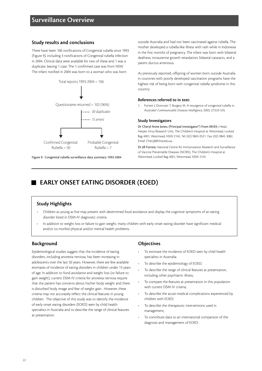# **Surveillance Overview**

### **Study results and conclusions**

There have been 106 notifications of Congenital rubella since 1993 (Figure 9), including 3 notifications of Congenital rubella infection in 2004. Clinical data were available for two of these and 1 was a duplicate, leaving 1 case. The 1 confirmed case was from NSW. The infant notified in 2004 was born to a woman who was born



Figure 9. Congenital rubella surveillance data summary 1993-2004

outside Australia and had not been vaccinated against rubella. The mother developed a rubella-like illness with rash while in Indonesia in the first months of pregnancy. The infant was born with bilateral deafness; intrauterine growth retardation, bilateral cataracts, and a patent ductus arteriosus.

As previously reported, offspring of women born outside Australia in countries with poorly developed vaccination programs have the highest risk of being born with congenital rubella syndrome in this country.

#### **References referred to in text:**

1. Forrest J, Donovan T, Burgess M. A resurgence of congenital rubella in Australia? *Communicable Diseases Intelligence*, 2003; 27:533-535.

#### **Study Investigators**

Dr Cheryl Anne Jones; (Principal investigator\*) From 09/03-; Head, Herpes Virus Research Unit, The Children's Hospital at Westmead, Locked Bag 4001, Westmead, NSW 2145. Tel: (02) 9845 0521 Fax: (02) 9845 3082, Email: CherylJ@chw.edu.au.

Dr Jill Forrest; National Centre for Immunisation Research and Surveillance of Vaccine Preventable Diseases (NCIRS), The Children's Hospital at Westmead, Locked Bag 4001, Westmead, NSW 2145

# **EARLY ONSET EATING DISORDER (EOED)**

# **Study Highlights**

- Children as young as five may present with determined food avoidance and display the cognitive symptoms of an eating disorder listed in DSM-IV diagnostic criteria
- In addition to weight loss or failure to gain weight, many children with early onset eating disorder have significant medical and/or co-morbid physical and/or mental health problems.

# **Background**

Epidemiological studies suggest that the incidence of eating disorders, including anorexia nervosa, has been increasing in adolescents over the last 50 years. However, there are few available estimates of incidence of eating disorders in children under 13 years of age. In addition to food avoidance and weight loss (or failure to gain weight), current DSM-IV criteria for anorexia nervosa require that the patient has concerns about his/her body weight and there is disturbed body image and fear of weight gain. However, these criteria may not accurately reflect the clinical features in young children. The objective of this study was to identify the incidence of early onset eating disorders (EOED) seen by child health specialists in Australia and to describe the range of clinical features at presentation.

# **Objectives**

- To estimate the incidence of EOED seen by child health specialists in Australia;
- To describe the epidemiology of EOED;
- To describe the range of clinical features at presentation, including other psychiatric illness;
- To compare the features at presentation in this population with current DSM IV criteria;
- To describe the acute medical complications experienced by children with EOED;
- To describe the therapeutic interventions used in management;
- To contribute data to an international comparison of the diagnosis and management of EOED.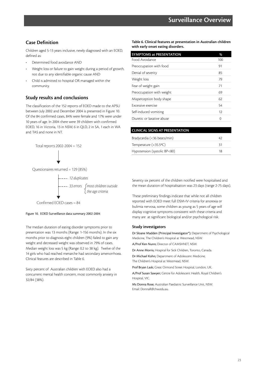# **Case Definition**

Children aged 5-13 years inclusive, newly diagnosed with an EOED, defined as:

- Determined food avoidance AND
- Weight loss or failure to gain weight during a period of growth, not due to any identifiable organic cause AND
- Child is admitted to hospital OR managed within the community.

# **Study results and conclusions**

The classification of the 152 reports of EOED made to the APSU between July 2002 and December 2004 is presented in Figure 10. Of the 84 confirmed cases, 84% were female and 17% were under 10 years of age. In 2004 there were 39 children with confirmed EOED, 16 in Victoria, 13 in NSW, 6 in QLD, 2 in SA, 1 each in WA and TAS and none in NT.



$$
\downarrow
$$

Questionaires returned = 129 (85%)

*12 duplicates 33 errors most children outside the age criteria*

Confirmed EOED cases = 84

#### Figure 10. EOED Surveillance data summary 2002-2004

The median duration of eating disorder symptoms prior to presentation was 13 months (Range: 1-156 months). In the six months prior to diagnosis eight children (9%) failed to gain any weight and decreased weight was observed in 79% of cases. Median weight loss was 5 kg (Range: 0.2 to 38 kg). Twelve of the 14 girls who had reached menarche had secondary amenorrhoea. Clinical features are described in Table 6.

Sixty percent of Australian children with EOED also had a concurrent mental health concern, most commonly anxiety in 32/84 (38%).

**Table 6. Clinical features at presentation in Australian children with early onset eating disorders.**

| <b>SYMPTOMS at PRESENTATION</b> | %   |
|---------------------------------|-----|
| Food Avoidance                  | 100 |
| Preoccupation with food         | 91  |
| Denial of severity              | 85  |
| Weight loss                     | 79  |
| Fear of weight gain             | 71  |
| Preoccupation with weight       | 69  |
| Misperception body shape        | 62  |
| Excessive exercise              | 54  |
| Self-induced vomiting           | 12  |
| Diuretic or laxative abuse      | 0   |
|                                 |     |

| <b>CLINICAL SIGNS AT PRESENTATION</b> |    |
|---------------------------------------|----|
| Bradycardia (<36 beats/min)           | 47 |
| Temperature $(<\frac{35.5}{\circ}C)$  | 31 |
| Hypotension (systolic BP<80)          | 18 |
|                                       |    |

Seventy six percent of the children notified were hospitalised and the mean duration of hospitalisation was 23 days (range 2-75 days).

These preliminary findings indicate that while not all children reported with EOED meet full DSM-IV criteria for anorexia or bulimia nervosa, some children as young as 5 years of age will display cognitive symptoms consistent with these criteria and many are at significant biological and/or psychological risk.

#### **Study investigators**

Dr Sloane Madden (Principal Investigator\*); Department of Psychological Medicine, The Children's Hospital at Westmead, NSW.

A/Prof Ken Nunn; Director of CAMSHNET, NSW.

Dr Anne Morris; Hospital for Sick Children, Toronto, Canada.

Dr Michael Kohn; Department of Adolescent Medicine, The Children's Hospital at Westmead, NSW.

Prof Bryan Lask; Great Ormond Street Hospital, London, UK.

A/Prof Susan Sawyer; Centre for Adolescent Health, Royal Children's Hospital, VIC.

Ms Donna Rose; Australian Paediatric Surveillance Unit, NSW. Email: DonnaR@chw.edu.au.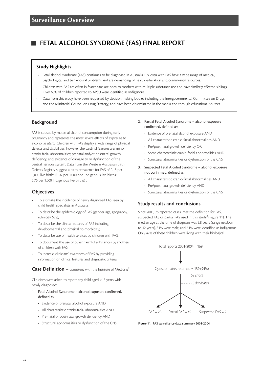# **FETAL ALCOHOL SYNDROME (FAS) FINAL REPORT**

### **Study Highlights**

- Fetal alcohol syndrome (FAS) continues to be diagnosed in Australia. Children with FAS have a wide range of medical, psychological and behavioural problems and are demanding of health, education and community resources.
- Children with FAS are often in foster care, are born to mothers with multiple substance use and have similarly affected siblings. Over 60% of children reported to APSU were identified as Indigenous.
- Data from this study have been requested by decision making bodies including the Intergovernmental Committee on Drugs and the Ministerial Council on Drug Strategy; and have been disseminated in the media and through educational sources.

#### **Background**

FAS is caused by maternal alcohol consumption during early pregnancy and represents the most severe effects of exposure to alcohol *in utero*. Children with FAS display a wide range of physical defects and disabilities, however the cardinal features are: minor cranio-facial abnormalities; prenatal and/or postnatal growth deficiency; and evidence of damage to or dysfunction of the central nervous system. Data from the Western Australian Birth Defects Registry suggest a birth prevalence for FAS of 0.18 per 1,000 live births (0.02 per 1,000 non-Indigenous live births; 2.76 per 1,000 Indigenous live births)<sup>1</sup>. .

# **Objectives**

- To estimate the incidence of newly diagnosed FAS seen by child health specialists in Australia;
- To describe the epidemiology of FAS (gender, age, geography, ethnicity, SES);
- To describe the clinical features of FAS including developmental and physical co-morbidity;
- To describe use of health services by children with FAS;
- To document the use of other harmful substances by mothers of children with FAS;
- To increase clinicians' awareness of FAS by providing information on clinical features and diagnostic criteria.

**Case Definition –** consistent with the Institute of Medicine<sup>2</sup>

Clinicians were asked to report any child aged <15 years with newly diagnosed:

- 1. Fetal Alcohol Syndrome alcohol exposure confirmed, defined as:
	- Evidence of prenatal alcohol exposure AND
	- All characteristic cranio-facial abnormalities AND
	- Pre-natal or post-natal growth deficiency AND
	- Structural abnormalities or dysfunction of the CNS
- 2. Partial Fetal Alcohol Syndrome alcohol exposure confirmed, defined as:
	- Evidence of prenatal alcohol exposure AND
	- All characteristic cranio-facial abnormalities AND
	- Pre/post natal growth deficiency OR
	- Some characteristic cranio-facial abnormalities AND
	- Structural abnormalities or dysfunction of the CNS
- 3. Suspected Fetal Alcohol Syndrome alcohol exposure not confirmed, defined as:
	- All characteristic cranio-facial abnormalities AND
	- Pre/post natal growth deficiency AND
	- Structural abnormalities or dysfunction of the CNS

# **Study results and conclusions**

Since 2001, 76 reported cases met the definition for FAS, suspected FAS or partial FAS used in this study<sup>2</sup> (Figure 11). The median age at the time of diagnosis was 2.8 years (range newborn to 12 years), 51% were male, and 61% were identified as Indigenous. Only 42% of these children were living with their biological



Figure 11. FAS surveillance data summary 2001-2004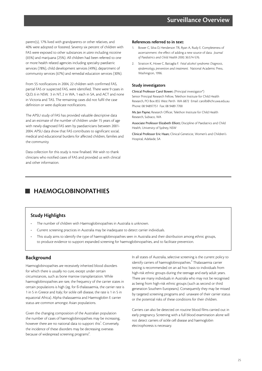parent(s), 17% lived with grandparents or other relatives, and 40% were adopted or fostered. Seventy six percent of children with FAS were exposed to other substances *in utero* including nicotine (65%) and marijuana (25%). All children had been referred to one or more health related agencies including specialty paediatric services (78%), child development services (49%), department of community services (67%) and remedial education services (30%).

From 55 notifications in 2004, 22 children with confirmed FAS, partial FAS or suspected FAS, were identified. There were 9 cases in QLD, 6 in NSW, 3 in NT, 2 in WA, 1 each in SA, and ACT and none in Victoria and TAS. The remaining cases did not fulfil the case definition or were duplicate notifications.

The APSU study of FAS has provided valuable descriptive data and an estimate of the number of children under 15 years of age with newly diagnosed FAS seen by paediatricians between 2001- 2004. APSU data show that FAS contributes to significant social, medical and educational burdens for affected children, families and the community.

Data collection for this study is now finalised. We wish to thank clinicians who notified cases of FAS and provided us with clinical and other information.

#### **References referred to in text:**

- 1. Bower C, Silva D, Henderson TR, Ryan A, Rudy E. Completeness of ascertainment: the effect of adding a new source of data. *Journal of Paediatrics and Child Health 2000;* 36:574-576.
- 2. Stratton K, Howe C, Battaglia F. *Fetal alcohol syndrome: Diagnosis, epidemiology, prevention and treatment.* National Academic Press, Washington, 1996.

#### **Study investigators**

Clinical Professor Carol Bower; (Principal investigator\*) Senior Principal Research Fellow, Telethon Institute for Child Health Research, PO Box 855 West Perth WA 6872 Email: carolb@ichr.uwa.edu.au Phone: 08 94897751 Fax: 08 9489 7700

Ms Jan Payne; Research Officer, Telethon Institute for Child Health Research, Subiaco, WA

Associate Professor Elizabeth Elliott; Discipline of Paediatrics and Child Health, University of Sydney, NSW

Clinical Professor Eric Haan; Clinical Geneticist, Women's and Children's Hospital, Adelaide, SA

# **HAEMOGLOBINOPATHIES**

# **Study Highlights**

- The number of children with Haemoglobinopathies in Australia is unknown.
- Current screening practices in Australia may be inadequate to detect carrier individuals.
- This study aims to identify the type of haemoglobinopathies seen in Australia and their distribution among ethnic groups, to produce evidence to support expanded screening for haemoglobinopathies, and to facilitate prevention.

# **Background**

Haemoglobinopathies are recessively inherited blood disorders for which there is usually no cure, except under certain circumstances, such as bone marrow transplantation. While haemoglobinopathies are rare, the frequency of the carrier states in certain populations is high (eg. for ß-thalassaemia, the carrier rate is 1 in 5 in Greece and Italy; for sickle cell disease, the rate is 1 in 5 in equatorial Africa). Alpha thalassaemia and Haemoglobin E carrier status are common amongst Asian populations.

Given the changing composition of the Australian population the number of cases of haemoglobinopathies may be increasing, however there are no national data to support this<sup>1</sup>. Conversely, the incidence of these disorders may be decreasing overseas because of widespread screening programs<sup>2</sup>. .

In all states of Australia, selective screening is the current policy to identify carriers of haemoglobinopathies.<sup>3</sup> Thalassaemia carrier testing is recommended on an ad hoc basis to individuals from high-risk ethnic groups during the teenage and early adult years. There are many individuals in Australia who may not be recognised as being from high-risk ethnic groups (such as second or third generation Southern Europeans). Consequently they may be missed by targeted screening programs and unaware of their carrier status or the potential risks of these conditions for their children.

Carriers can also be detected on routine blood films carried out in early pregnancy. Screening with a full blood examination alone will not detect carriers of sickle cell disease and haemoglobin electrophoresis is necessary.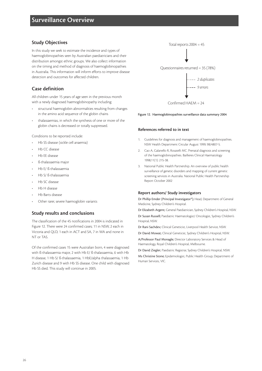# **Study Objectives**

In this study we seek to estimate the incidence and types of haemoglobinopathies seen by Australian paediatricians and their distribution amongst ethnic groups. We also collect information on the timing and method of diagnosis of haemoglobinopathies in Australia. This information will inform efforts to improve disease detection and outcomes for affected children.

# **Case definition**

All children under 15 years of age seen in the previous month with a newly diagnosed haemoglobinopathy including:

- structural haemoglobin abnormalities resulting from changes in the amino acid sequence of the globin chains
- thalassaemias, in which the synthesis of one or more of the globin chains is decreased or totally suppressed.

Conditions to be reported include:

- Hb SS disease (sickle cell anaemia)
- Hb CC disease
- Hb EE disease
- ß-thalassaemia major
- Hb E/ ß-thalassaemia
- Hb S/ ß-thalassaemia
- Hb SC disease
- Hb H disease
- Hb Barts disease
- Other rarer, severe haemoglobin variants

# **Study results and conclusions**

The classification of the 45 notifications in 2004 is indicated in Figure 12. There were 24 confirmed cases; 11 in NSW, 2 each in Victoria and QLD, 1 each in ACT and SA, 7 in WA and none in NT or TAS.

Of the confirmed cases 15 were Australian born, 4 were diagnosed with ß-thalassaemia major, 2 with Hb E/ ß-thalassaemia, 6 with Hb H disease, 1 Hb S/ ß-thalassaemia, 1 HbE/alpha thalassaemia, 1 Hb Zurich disease and 9 with Hb SS disease. One child with diagnosed Hb SS died. This study will continue in 2005.



#### Figure 12. Haemoglobinopathies surveillance data summary 2004

#### **References referred to in text**

- 1. Guidelines for diagnosis and management of haemoglobinopathies. NSW Health Department Circular August 1999; 98/4807-5.
- 2. Cao A, Galanello R, Rosatelli MC. Prenatal diagnosis and screening of the haemoglobinopathies. Baillieres Clinical Haematology 1998;11(1): 215-38.
- 3. National Public Health Partnership. An overview of public health surveillance of genetic disorders and mapping of current genetic screening services in Australia. National Public Health Partnership Report October 2002

#### **Report authors/ Study investigators**

Dr Phillip Emder (Principal Investigator\*); Head, Department of General Medicine, Sydney Children's Hospital.

Dr Elizabeth Argent; General Paediatrician, Sydney Children's Hospital, NSW.

Dr Susan Russell; Paediatric Haematologist/ Oncologist, Sydney Children's Hospital, NSW.

Dr Rani Sachdev; Clinical Geneticist, Liverpool Health Service, NSW.

Dr David Mowat; Clinical Geneticist, Sydney Children's Hospital, NSW.

A/Professor Paul Monagle; Director Laboratory Services & Head of Haematology, Royal Children's Hospital, Melbourne.

Dr David Ziegler; Paediatric Registrar, Sydney Children's Hospital, NSW.

Ms Christine Stone; Epidemiologist, Public Health Group, Department of Human Services, VIC.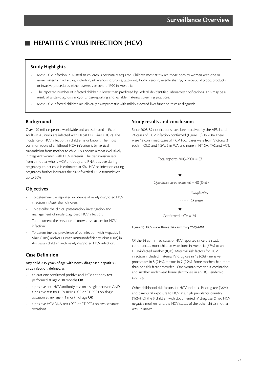# **HEPATITIS C VIRUS INFECTION (HCV)**

# **Study Highlights**

- Most HCV infection in Australian children is perinatally acquired. Children most at risk are those born to women with one or more maternal risk factors, including intravenous drug use, tattooing, body piercing, needle sharing, or receipt of blood products or invasive procedures, either overseas or before 1990 in Australia.
- The reported number of infected children is lower than predicted by Federal de-identified laboratory notifications. This may be a result of under-diagnosis and/or under-reporting and variable maternal screening practices.
- Most HCV infected children are clinically asymptomatic with mildly elevated liver function tests at diagnosis.

# **Background**

Over 170 million people worldwide and an estimated 1.1% of adults in Australia are infected with Hepatitis C virus (HCV). The incidence of HCV infection: in children is unknown. The most common route of childhood HCV infection is by vertical transmission from mother to child. This occurs almost exclusively in pregnant women with HCV viraemia. The transmission rate from a mother who is HCV antibody and RNA positive during pregnancy, to her child is estimated at 5%. HIV co-infection during pregnancy further increases the risk of vertical HCV transmission up to 20%.

# **Objectives**

- To determine the reported incidence of newly diagnosed HCV infection in Australian children;
- To describe the clinical presentation, investigation and management of newly diagnosed HCV infection;
- To document the presence of known risk factors for HCV infection;
- To determine the prevalence of co-infection with Hepatitis B Virus (HBV) and/or Human Immunodeficiency Virus (HIV) in Australian children with newly diagnosed HCV infection.

# **Case Definition**

#### Any child <15 years of age with newly diagnosed hepatitis C virus infection, defined as:

- at least one confirmed positive anti-HCV antibody test performed at age ≥ 18 months OR
- a positive anti-HCV antibody test on a single occasion AND a positive test for HCV RNA (PCR or RT-PCR) on single occasion at any age > 1 month of age OR
- a positive HCV RNA test (PCR or RT-PCR) on two separate occasions.

# **Study results and conclusions**

Since 2003, 57 notifications have been received by the APSU and 24 cases of HCV infection confirmed (Figure 13). In 2004, there were 12 confirmed cases of HCV. Four cases were from Victoria, 3 each in QLD and NSW, 2 in WA and none in NT, SA, TAS and ACT.



Figure 13. HCV surveillance data summary 2003-2004

Of the 24 confirmed cases of HCV reported since the study commenced, most children were born in Australia (67%) to an HCV-infected mother (83%). Maternal risk factors for HCV infection included maternal IV drug use in 15 (63%); invasive procedures in 5 (21%), tattoos in 7 (29%). Some mothers had more than one risk factor recorded. One woman received a vaccination and another underwent home electrolysis in an HCV endemic country.

Other childhood risk factors for HCV included IV drug use (3/24) and parenteral exposure to HCV in a high prevalence country (1/24). Of the 3 children with documented IV drug use, 2 had HCV negative mothers, and the HCV status of the other child's mother was unknown.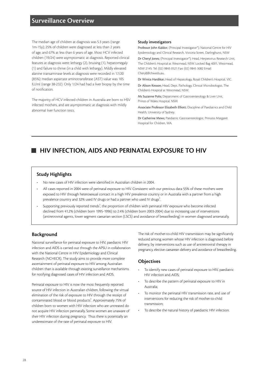# **Surveillance Overview**

The median age of children at diagnosis was 5.3 years (range 1m-15y); 25% of children were diagnosed at less than 2 years of age, and 67% at less than 6 years of age. Most HCV infected children (19/24) were asymptomatic at diagnosis. Reported clinical features at diagnosis were: lethargy (2), bruising (1), hepatomegaly (1) and failure to thrive (in a child with lethargy). Mildly elevated alanine transaminase levels at diagnosis were recorded in 17/20 (85%): median aspartate aminotransferase (AST) value was 105 IU/ml (range 38-232). Only 1/24 had had a liver biopsy by the time of notification.

The majority of HCV infected children in Australia are born to HSV infected mothers, and are asymptomatic at diagnosis with mildly abnormal liver function tests.

#### **Study investigators**

Professor John Kaldor; (Principal Investigator\*); National Centre for HIV Epidemiology and Clinical Research, Victoria Street, Darlinghurst, NSW

Dr Cheryl Jones; (Principal Investigator\*); Head, Herpesvirus Research Unit, The Children's Hospital at Westmead, NSW. Locked Bag 4001, Westmead, NSW 2145. Tel: (02) 9845 0521 Fax: (02) 9845 3082 Email: CherylJ@chw.edu.au.

Dr Winita Hardikar; Head of Hepatology, Royal Children's Hospital, VIC.

Dr Alison Kesson; Head, Dept. Pathology, Clinical Microbiologist, The Children's Hospital at Westmead, NSW.

Ms Suzanne Polis; Department of Gastroenterology & Liver Unit, Prince of Wales Hospital, NSW.

Associate Professor Elizabeth Elliott; Discipline of Paediatrics and Child Health, University of Sydney.

Dr Catherine Mews; Paediatric Gastroenterologist, Princess Margaret Hospital for Children, WA.

# **HIV INFECTION, AIDS AND PERINATAL EXPOSURE TO HIV**

# **Study Highlights**

- No new cases of HIV infection were identified in Australian children in 2004.
- All cases reported in 2004 were of perinatal exposure to HIV. Consistent with our previous data 55% of these mothers were exposed to HIV through heterosexual contact in a high HIV prevalence country or in Australia with a partner from a high prevalence country and 32% used IV drugs or had a partner who used IV drugs<sup>1</sup>.
- $\cdot$  Supporting previously reported trends<sup>1</sup>, the proportion of children with perinatal HIV exposure who become infected declined from 41.2% (children born 1995-1996) to 2.4% (children born 2003-2004) due to increasing use of interventions (antiretroviral agents, lower segment caesarian section (LSCS) and avoidance of breastfeeding) in women diagnosed antenatally.

# **Background**

National surveillance for perinatal exposure to HIV, paediatric HIV infection and AIDS is carried out through the APSU in collaboration with the National Centre in HIV Epidemiology and Clinical Research (NCHECR). The study aims to provide more complete ascertainment of perinatal exposure to HIV among Australian children than is available through existing surveillance mechanisms for notifying diagnosed cases of HIV infection and AIDS.

Perinatal exposure to HIV is now the most frequently reported source of HIV infection in Australian children, following the virtual elimination of the risk of exposure to HIV through the receipt of contaminated blood or blood products<sup>1</sup>. Approximately 75% of children born to women with HIV infection who are untreated do not acquire HIV infection perinatally. Some women are unaware of their HIV infection during pregnancy. Thus there is potentially an underestimate of the rate of perinatal exposure to HIV.

The risk of mother-to-child HIV transmission may be significantly reduced among women whose HIV infection is diagnosed before delivery, by interventions such as use of antiretroviral therapy in pregnancy, elective caesarean delivery and avoidance of breastfeeding.

# **Objectives**

- To identify new cases of perinatal exposure to HIV, paediatric HIV infection and AIDS;
- To describe the pattern of perinatal exposure to HIV in Australia;
- To monitor the perinatal HIV transmission rate, and use of interventions for reducing the risk of mother-to-child transmission;
- To describe the natural history of paediatric HIV infection.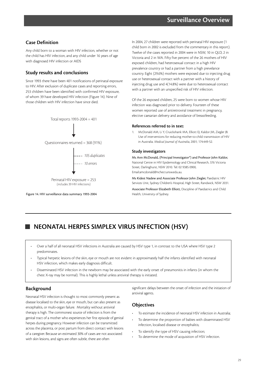# **Case Definition**

Any child born to a woman with HIV infection, whether or not the child has HIV infection, and any child under 16 years of age with diagnosed HIV infection or AIDS

# **Study results and conclusions**

Since 1993 there have been 401 notifications of perinatal exposure to HIV. After exclusion of duplicate cases and reporting errors, 253 children have been identified with confirmed HIV exposure, of whom 39 have developed HIV infection (Figure 14). Nine of those children with HIV infection have since died.



Figure 14. HIV surveillance data summary 1993-2004

In 2004, 27 children were reported with perinatal HIV exposure (1 child born in 2002 is excluded from the commentary in this report). Twelve of the cases reported in 2004 were in NSW, 10 in QLD, 2 in Victoria and 2 in WA. Fifty five percent of the 26 mothers of HIV exposed children, had heterosexual contact in a high HIV prevalence country or had a partner from a high prevelance country. Eight (29.6%) mothers were exposed due to injecting drug use or heterosexual contact with a partner with a history of injecting drug use and 4(14.8%) were due to heterosexual contact with a partner with an unspecified risk of HIV infection.

Of the 26 exposed children, 25 were born to women whose HIV infection was diagnosed prior to delivery. Fourteen of these women reported use of antiretroviral treatment in pregnancy, elective caesarian delivery and avoidance of breastfeeding.

#### **References referred to in text:**

1. McDonald AM, Li Y, Cruickshank MA, Elliott EJ, Kaldor JM, Ziegler JB. Use of interventions for reducing mother-to-child transmission of HIV in Australia. *Medical Journal of Australia*, 2001; 174:449-52.

#### **Study investigators**

Ms Ann McDonald, (Principal Investigator\*) and Professor John Kaldor, National Centre in HIV Epidemiology and Clinical Research, 376 Victoria Street, Darlinghurst, NSW 2010. Tel: 02 9385 0900, Email:amcdonald@nchecr.unsw.edu.au.

Ms Kidest Nadew and Associate Professor John Ziegler, Paediatric HIV Services Unit, Sydney Children's Hospital, High Street, Randwick, NSW 2031. Associate Professor Elizabeth Elliott, Discipline of Paediatrics and Child Health, University of Sydney.

# **NEONATAL HERPES SIMPLEX VIRUS INFECTION (HSV)**

- Over a half of all neonatal HSV infections in Australia are caused by HSV type 1, in contrast to the USA where HSV type 2 predominates.
- Typical herpetic lesions of the skin, eye or mouth are not evident in approximately half the infants identified with neonatal HSV infection, which makes early diagnosis difficult.
- Disseminated HSV infection in the newborn may be associated with the early onset of pneumonitis in infants (in whom the chest X-ray may be normal). This is highly lethal unless antiviral therapy is initiated.

# **Background**

Neonatal HSV infection is thought to most commonly present as disease localised to the skin, eye or mouth, but can also present as encephalitis, or multi-organ failure. Mortality without antiviral therapy is high. The commonest source of infection is from the genital tract of a mother who experiences her first episode of genital herpes during pregnancy. However infection can be transmitted across the placenta, or post partum from direct contact with lesions of a caregiver. Because an estimated 30% of cases are not associated with skin lesions, and signs are often subtle, there are often

significant delays between the onset of infection and the initiation of antiviral agents.

# **Objectives**

- To estimate the incidence of neonatal HSV infection in Australia;
- To determine the proportion of babies with disseminated HSV infection, localised disease or encephalitis;
- To identify the type of HSV causing infection;
- To determine the mode of acquisition of HSV infection.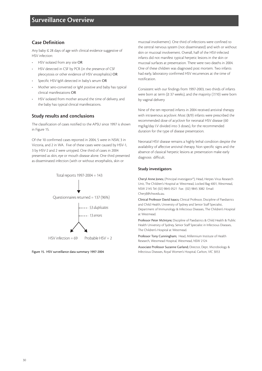# **Case Definition**

Any baby ≤ 28 days of age with clinical evidence suggestive of HSV infection:

- HSV isolated from any site OR
- HSV detected in CSF by PCR (in the presence of CSF pleocytosis or other evidence of HSV encephalitis) OR
- Specific HSV-IgM detected in baby's serum OR
- Mother sero-converted or IgM positive and baby has typical clinical manifestations OR
- HSV isolated from mother around the time of delivery, and the baby has typical clinical manifestations.

# **Study results and conclusions**

The classification of cases notified to the APSU since 1997 is shown in Figure 15.

Of the 10 confirmed cases reported in 2004, 5 were in NSW, 3 in Victoria, and 2 in WA. Five of these cases were caused by HSV-1, 3 by HSV-2 and 2 were untyped. One third of cases in 2004 presented as skin, eye or mouth disease alone. One third presented as disseminated infection (with or without encephalitis, skin or



Figure 15. HSV surveillance data summary 1997-2004

mucosal involvement). One third of infections were confined to the central nervous system (not disseminated) and with or without skin or mucosal involvement. Overall, half of the HSV-infected infants did not manifest typical herpetic lesions in the skin or mucosal surfaces at presentation. There were two deaths in 2004. One of these children was diagnosed post mortem. Two infants had early, laboratory confirmed HSV recurrences at the time of notification.

Consistent with our findings from 1997-2003, two thirds of infants were born at term ( $\geq$  37 weeks), and the majority (7/10) were born by vaginal delivery

Nine of the ten reported infants in 2004 received antiviral therapy with intravenous acyclovir. Most (8/9) infants were prescribed the recommended dose of acyclovir for neonatal HSV disease (60 mg/kg/day I.V divided into 3 doses), for the recommended duration for the type of disease presentation.

Neonatal HSV disease remains a highly lethal condition despite the availability of affective antiviral therapy. Non specific signs and the absence of classical herpetic lesions at presentation make early diagnosis difficult.

#### **Study investigators**

Cheryl Anne Jones; (Principal investigator\*); Head, Herpes Virus Research Unit, The Children's Hospital at Westmead, Locked Bag 4001, Westmead, NSW 2145 Tel: (02) 9845 0521 Fax: (02) 9845 3082 Email: Cheryll@chw.edu.au.

Clinical Professor David Isaacs; Clinical Professor, Discipline of Paediatrics and Child Health, University of Sydney and Senior Staff Specialist, Department of Immunology & Infectious Diseases, The Children's Hospital at Westmead.

Professor Peter McIntyre; Discipline of Paediatrics & Child Health & Public Health University of Sydney, Senior Staff Specialist in Infectious Diseases, The Children's Hospital at Westmead.

Professor Tony Cunningham; Head, Millennium Institute of Health Research, Westmead Hospital, Westmead, NSW 2124

Associate Professor Suzanne Garland; Director, Dept. Microbiology & Infectious Diseases, Royal Women's Hospital, Carlton, VIC 3053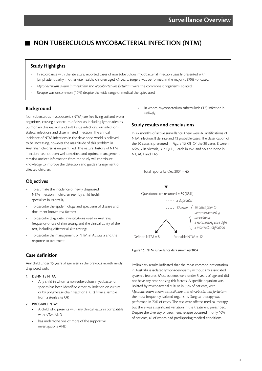# **NON TUBERCULOUS MYCOBACTERIAL INFECTION (NTM)**

### **Study Highlights**

- In accordance with the literature, reported cases of non tuberculous mycobacterial infection usually presented with lymphadenopathy in otherwise healthy children aged <5 years. Surgery was performed in the majority (70%) of cases.
- *Mycobacterium avium intracellulare* and *Mycobacterium fortuitum* were the commonest organisms isolated
- Relapse was uncommon (10%) despite the wide range of medical therapies used.

### **Background**

Non tuberculous mycobacteria (NTM) are free living soil and water organisms, causing a spectrum of diseases including lymphadenitis, pulmonary disease, skin and soft tissue infections, ear infections, skeletal infections and disseminated infection. The annual incidence of NTM infections in the developed world is believed to be increasing, however the magnitude of this problem in Australian children is unquantified. The natural history of NTM infection has not been well described and optimal management remains unclear. Information from the study will contribute knowledge to improve the detection and guide management of affected children.

# **Objectives**

- To estimate the incidence of newly diagnosed NTM infection in children seen by child health specialists in Australia;
- To describe the epidemiology and spectrum of disease and document known risk factors;
- To describe diagnostic investigations used in Australia; frequency of use of skin testing and the clinical utility of the test, including differential skin testing;
- To describe the management of NTM in Australia and the response to treatment.

# **Case definition**

Any child under 15 years of age seen in the previous month newly diagnosed with:

#### 1. DEFINITE NTM:

• Any child in whom a non-tuberculous mycobacterium species has been identified either by isolation on culture or by polymerase chain reaction (PCR) from a sample from a sterile site OR

#### 2. PROBABLE NTM:

- A child who presents with any clinical features compatible with NTM AND
- has undergone one or more of the supportive investigations AND

in whom Mycobacterium tuberculosis (TB) infection is unlikely.

## **Study results and conclusions**

In six months of active surveillance, there were 46 notifications of NTM infection, 8 definite and 12 probable cases. The classification of the 20 cases is presented in Figure 16. Of Of the 20 cases, 8 were in NSW, 7 in Victoria, 3 in QLD, 1 each in WA and SA and none in NT, ACT and TAS.



Figure 16: NTM surveillance data summary 2004

Preliminary results indicated that the most common presentation in Australia is isolated lymphadenopathy without any associated systemic features. Most patients were under 5 years of age and did not have any predisposing risk factors. A specific organism was isolated by mycobacterial culture in 65% of patients, with *Mycobacterium avium intracellulare and Mycobacterium fortuitum* the most frequently isolated organisms. Surgical therapy was performed in 70% of cases. The rest were offered medical therapy but there was a significant variation in the treatment prescribed. Despite the diversity of treatment, relapse occurred in only 10% of patients, all of whom had predisposing medical conditions.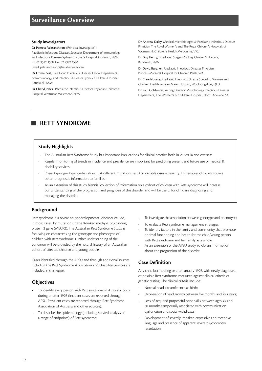#### **Study investigators**

Dr Pamela Palasanthiran; (Principal Investigator\*) Paediatric Infectious Diseases Specialist Department of Immunology and Infectious Diseases,Sydney Children's Hospital,Randwick, NSW. Ph: 02 9382 1508, Fax: 02 9382 1580,

Email: palasanthiranp@sesahs.nsw.gov.au

Dr Emma Best; Paediatric Infectious Diseases Fellow Department of Immunology and Infectious Diseases Sydney Children's Hospital Randwick, NSW.

Dr Cheryl Jones; Paediatric Infectious Diseases Physician Children's Hospital Westmead,Westmead, NSW.

Dr Andrew Daley; Medical Microbiologist & Paediatric Infectious Diseases Physician The Royal Women's and The Royal Children's Hospitals of Women's & Children's Health Melbourne, VIC.

Dr Guy Henry; Paediatric Surgeon,Sydney Children's Hospital, Randwick, NSW.

Dr David Burgner; Paediatric Infectious Diseases Physician, Princess Margaret Hospital for Children Perth, WA.

Dr Clare Nourse; Paediatric Infectious Disease Specialist, Women and Children Health Services Mater Hospital, Wooloongabba, QLD.

Dr Paul Goldwater; Acting Director, Microbiology Infectious Diseases Department, The Women's & Children's Hospital, North Adelaide, SA.

# **RETT SYNDROME**

# **Study Highlights**

- The Australian Rett Syndrome Study has important implications for clinical practice both in Australia and overseas.
- Regular monitoring of trends in incidence and prevalence are important for predicting present and future use of medical & disability services.
- Phenotype-genotype studies show that different mutations result in variable disease severity. This enables clinicians to give better prognostic information to families.
- As an extension of this study biennial collection of information on a cohort of children with Rett syndrome will increase our understanding of the progression and prognosis of this disorder and will be useful for clinicians diagnosing and managing the disorder.

# **Background**

Rett syndrome is a severe neurodevelopmental disorder caused, in most cases, by mutations in the X-linked methyl-CpG-binding protein 2 gene (MECP2). The Australian Rett Syndrome Study is focussing on characterising the genotype and phenotype of children with Rett syndrome. Further understanding of the condition will be provided by the natural history of an Australian cohort of affected children and young people.

Cases identified through the APSU and through additional sources including the Rett Syndrome Association and Disability Services are included in this report.

# **Objectives**

- To identify every person with Rett syndrome in Australia, born during or after 1976 (Incident cases are reported through APSU. Prevalent cases are reported through Rett Syndrome Association of Australia and other sources).
- To describe the epidemiology (including survival analysis of a range of endpoints) of Rett syndrome;
- To investigate the association between genotype and phenotype;
- To evaluate Rett syndrome management strategies;
- To identify factors in the family and community that promote optimal functioning and health for the child/young person with Rett syndrome and her family as a whole.
- As an extension of the APSU study, to obtain information about the progression of the disorder.

# **Case Definition**

Any child born during or after January 1976, with newly diagnosed or possible Rett syndrome, measured against clinical criteria or genetic testing. The clinical criteria include:

- Normal head circumference at birth;
- Deceleration of head growth between five months and four years;
- Loss of acquired purposeful hand skills between ages six and 30 months temporarily associated with communication dysfunction and social withdrawal;
- Development of severely impaired expressive and receptive language and presence of apparent severe psychomotor retardation;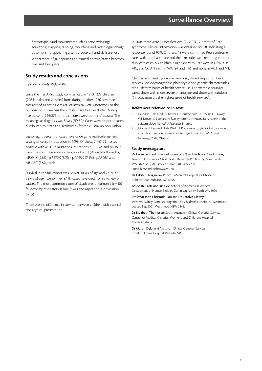- Stereotypic hand movements such as hand wringing/ squeezing, clapping/tapping, mouthing and "washing/rubbing" automatisms appearing after purposeful hand skills are lost;
- Appearance of gait apraxia and truncal apraxia/ataxia between one and four years.

# **Study results and conclusions**

Update of study 1993-2004

Since the first APSU study commenced in 1993, 278 children (276 females and 2 males) born during or after 1976 have been categorised as having classical or atypical Rett syndrome. For the purpose of this analysis the 2 males have been excluded. Ninety five percent (264/276) of the children were born in Australia. The mean age at diagnosis was 5.3yrs (SD 3.9). Cases were proportionately distributed by State and Territory as for the Australian population.<sup>1</sup>

Eighty eight percent of cases have undergone molecular genetic testing since its introduction in 1999. Of these, 74%(179) tested positive with MECP2 mutations. Mutations p.T158M and p.R168X were the most common in the cohort at 11.5% each, followed by p.R294X (9.8%), p.R270X (8.7%), p.R255X (7.1%), p.R306C and p.R133C (5.5%) each.

Survival in the full cohort was 98% at 10 yrs of age and 77.8% at 25 yrs of age. Twenty five (9.1%) cases have died from a variety of causes. The most common cause of death was pneumonia (n=10) followed by respiratory failure (n=4) and aspiration/asphyxiation  $(n=3)$ .

There was no difference in survival between children with classical and atypical presentation.

In 2004 there were 31 notifications (24 APSU, 7 other) of Rett syndrome. Clinical information was obtained for 28, indicating a response rate of 90%. Of these, 15 were confirmed Rett syndrome cases with 1 probable case and the remainder were reporting errors or duplicate cases. Six children diagnosed with Rett were in NSW, 4 in VIC, 2 in QLD, 1 each in WA, SA and TAS and none in ACT and NT.

Children with Rett syndrome have a significant impact on health services. Sociodemographic, phenotypic and genetic characteristics are all determinants of health service use. For example, younger cases, those with more severe phenotype and those with random X inactivation are the highest users of health services<sup>2</sup>. .

#### **References referred to in text:**

- Laurvick C, de Klerk N, Bower C, Christodoulou J, Ravine D, Ellaway C, Williamson S, Leonard H. Rett syndrome in Australia: A review of the epidemiology. *Journal of Pediatrics* In press.
- 2. Moore H, Leonard H, de Klerk N, Robertson L, Fyfe S, Christodoulou J, et al. Health service utlisation in Rett syndrome. *Journal of Child Neurology* 2004; 19:42-50.

### **Study investigators**

Dr Helen Leonard (Principal Investigator\*) and Professor Carol Bower; Telethon Institute for Child Health Research, PO Box 855 West Perth WA 6872 Tel: (08) 9489 7790 Fax: (08) 9489 7700 Email: hleonard@ichr.uwa.edu.au

Dr Lakshmi Nagarajan; Princess Margaret Hospital for Children, Roberts Road, Subiaco, WA 6008.

Associate Professor Sue Fyfe; School of Biomedical Sciences, Department of Human Biology, Curtin University, Perth WA 6000.

Professor John Christodoulou and Dr Carolyn Ellaway; Western Sydney Genetics Program, The Children's Hospital at Westmead, Locked Bag 4001, Westmead, NSW 2145.

Dr Elizabeth Thompson; South Australian Clinical Genetics Service, Centre for Medical Genetics, Women's and Children's Hospital, North Adelaide

Dr Martin Delatycki; Victorian Clinical Genetics Services, Royal Children's Hospital, Parkville, VIC.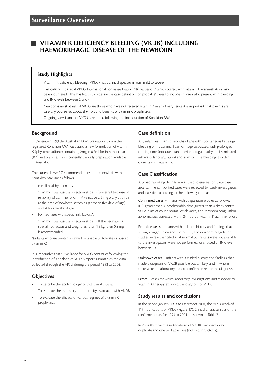# **VITAMIN K DEFICIENCY BLEEDING (VKDB) INCLUDING HAEMORRHAGIC DISEASE OF THE NEWBORN**

# **Study Highlights**

- Vitamin K deficiency bleeding (VKDB) has a clinical spectrum from mild to severe.
- Particularly in classical VKDB, International normalised ratio (INR) values of 2 which correct with vitamin K administration may be encountered. This has led us to redefine the case definition for 'probable' cases to include children who present with bleeding and INR levels between 2 and 4.
- Newborns most at risk of VKDB are those who have not received vitamin K in any form, hence it is important that parents are carefully counselled about the risks and benefits of vitamin K prophylaxis
- Ongoing surveillance of VKDB is required following the introduction of Konakion MM

# **Background**

In December 1999 the Australian Drug Evaluation Committee registered Konakion MM Paediatric, a new formulation of vitamin K (phytomenadione) containing 2mg in 0.2ml for intramuscular (IM) and oral use. This is currently the only preparation available in Australia.

The current NHMRC recommendations<sup>1</sup> for prophylaxis with Konakion MM are as follows:

For all healthy neonates:

1 mg by intramuscular injection at birth (preferred because of reliability of administration). Alternatively, 2 mg orally at birth, at the time of newborn screening (three to five days of age) and at four weeks of age.

• For neonates with special risk factors\*:

1 mg by intramuscular injection at birth. If the neonate has special risk factors and weighs less than 1.5 kg, then 0.5 mg is recommended.

\*(infants who are pre-term, unwell or unable to tolerate or absorb vitamin K)

It is imperative that surveillance for VKDB continues following the introduction of Konakion MM. This report summarises the data collected through the APSU during the period 1993 to 2004.

# **Objectives**

- To describe the epidemiology of VKDB in Australia;
- To estimate the morbidity and mortality associated with VKDB;
- To evaluate the efficacy of various regimes of vitamin K prophylaxis.

# **Case definition**

Any infant less than six months of age with spontaneous bruising/ bleeding or intracranial haemorrhage associated with prolonged clotting time, (not due to an inherited coagulopathy or disseminated intravascular coagulation) and in whom the bleeding disorder corrects with vitamin K.

# **Case Classification**

A broad reporting definition was used to ensure complete case ascertainment. Notified cases were reviewed by study investigators and classified according to the following criteria:

Confirmed cases – Infants with coagulation studies as follows: INR greater than 4, prothrombin time greater than 4 times control value, platelet count normal or elevated; and in whom coagulation abnormalities corrected within 24 hours of vitamin K administration.

Probable cases – Infants with a clinical history and findings that strongly suggest a diagnosis of VKDB, and in whom coagulation studies were either cited as abnormal but results were not available to the investigators; were not performed; or showed an INR level between 2-4.

Unknown cases – Infants with a clinical history and findings that made a diagnosis of VKDB possible but unlikely, and in whom there were no laboratory data to confirm or refute the diagnosis.

Errors – cases for which laboratory investigations and response to vitamin K therapy excluded the diagnosis of VKDB.

# **Study results and conclusions**

In the period January 1993 to December 2004, the APSU received 113 notifications of VKDB (Figure 17). Clinical characteristics of the confirmed cases for 1993 to 2004 are shown in Table 7.

In 2004 there were 4 notifications of VKDB: two errors, one duplicate and one probable case (notified in Victoria).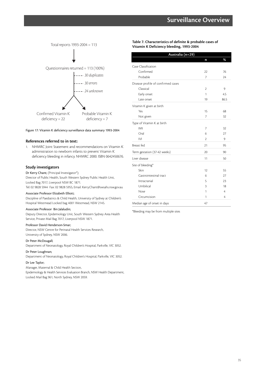

#### Figure 17: Vitamin K deficiency surveillance data summary 1993-2004

#### **References referred to in text:**

1. NHMRC Joint Statement and recommendations on Vitamin K administration to newborn infants to prevent Vitamin K deficiency bleeding in infancy. NHMRC 2000. ISBN 0642450676.

#### **Study investigators**

Dr Kerry Chant; (Principal Investigator\*);

Director of Public Health, South Western Sydney Public Health Unit, Locked Bag 7017, Liverpool NSW BC 1871.

Tel: 02 9828 5944 Fax: 02 9828 5955, Email: Kerry.Chant@swsahs.nsw.gov.au

#### Associate Professor Elizabeth Elliott;

Discipline of Paediatrics & Child Health, University of Sydney at Children's Hospital Westmead Locked bag 4001 Westmead, NSW 2145.

#### Associate Professor Bin Jalaludin;

Deputy Director, Epidemiology Unit, South Western Sydney Area Health Service, Private Mail Bag 7017, Liverpool NSW 1871.

#### Professor David Henderson-Smar;

Director, NSW Centre for Perinatal Health Services Research, University of Sydney, NSW 2006.

#### Dr Peter McDougall;

Department of Neonatology, Royal Children's Hospital, Parkville, VIC 3052.

#### Dr Peter Loughnan;

Department of Neonatology, Royal Children's Hospital, Parkville, VIC 3052.

#### Dr Lee Taylor;

Manager, Maternal & Child Health Section, Epidemiology & Health Services Evaluation Branch, NSW Health Department,

Locked Mail Bag 961, North Sydney, NSW 2059.

**Table 7. Characteristics of definite & probable cases of Vitamin K Deficiency bleeding, 1993-2004**

| Australia (n=29)                   |    |                |
|------------------------------------|----|----------------|
|                                    | n  | %              |
| Case Classification                |    |                |
| Confirmed                          | 22 | 76             |
| Probable                           | 7  | 24             |
| Disease profile of confirmed cases |    |                |
| Classical                          | 2  | 9              |
| Early onset                        | 1  | 4.5            |
| Late onset                         | 19 | 86.5           |
| Vitamin K given at birth           |    |                |
| Yes                                | 15 | 68             |
| Not given                          | 7  | 32             |
| Type of Vitamin K at birth         |    |                |
| IMI                                | 7  | 32             |
| Oral                               | 6  | 27             |
| IVI                                | 2  | 9              |
| Breast fed                         | 21 | 95             |
| Term gestation (37-42 weeks)       | 20 | 90             |
| Liver disease                      | 11 | 50             |
| Site of bleeding*                  |    |                |
| Skin                               | 12 | 55             |
| Gastrointestinal tract             | 6  | 27             |
| Intracranial                       | 5  | 23             |
| Umbilical                          | 3  | 18             |
| Nose                               | 1  | $\overline{4}$ |
| Circumcision                       | 1  | 4              |
| Median age of onset in days        | 47 |                |

\*Bleeding may be from multiple sites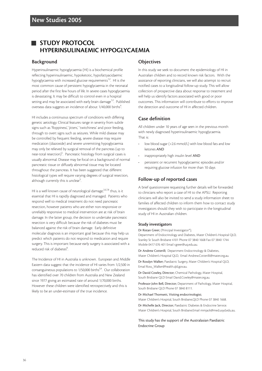# **STUDY PROTOCOL HYPERINSULINAEMIC HYPOGLYCAEMIA**

### **Background**

Hyperinsulinaemic hypoglycaemia (HI) is a biochemical profile reflecting hyperinsulinaemic, hypoketotic, hypofattyacidaemic hypoglycaemia with increased glucose requirements<sup>1,2</sup>. HI is the most common cause of persistent hypoglycaemia in the neonatal period after the first few hours of life. In severe cases hypoglycaemia is devastating. It may be difficult to control even in a hospital setting and may be associated with early brain damage<sup>1,2</sup>. Published overseas data suggests an incidence of about 1/40,000 births<sup>4</sup>. .

HI includes a continuous spectrum of conditions with differing genetic aetiology. Clinical features range in severity from subtle signs such as 'floppiness', 'jitters,' 'twitchiness' and poor feeding, through to overt signs such as seizures. While mild disease may be controlled by frequent feeding, severe disease may require medication (diazoxide) and severe unremitting hypoglycaemia may only be relieved by surgical removal of the pancreas (up to near-total resection)<sup>5</sup>. Pancreatic histology from surgical cases is usually abnormal. Disease may be focal on a background of normal pancreatic tissue or diffusely abnormal tissue may be located throughout the pancreas. It has been suggested that different histological types will require varying degrees of surgical resection, although currently this is unclear<sup>5</sup>. .

HI is a well known cause of neurological damage,  $2,6,7,8$  thus, is it essential that HI is rapidly diagnosed and managed. Patients who respond well to medical treatment do not need pancreatic resection, however patients who are either non-responsive or unreliably responsive to medical intervention are at risk of brain damage. In the latter group, the decision to undertake pancreatic resection is very difficult because the risk of diabetes must be balanced against the risk of brain damage. Early definitive molecular diagnosis is an important goal because this may help us predict which patients do not respond to medication and require surgery. This is important because early surgery is associated with a reduced risk of diabetes<sup>8</sup>. .

The Incidence of HI in Australia is unknown. European and Middle Eastern data suggest that the incidence of HI varies from 1/2,500 in consanguineous populations to 1/50,000 births<sup>3,4</sup>. Our collaboration has identified over 70 children from Australia and New Zealand since 1977 giving an estimated rate of around 1/70,000 births. However these children were identified retrospectively and this is likely to be an under-estimate of the true incidence.

# **Objectives**

In this study we seek to document the epidemiology of HI in Australian children and to record known risk factors. With the assistance of reporting clinicians, we will also attempt to recruit notified cases to a longitudinal follow-up study. This will allow collection of prospective data about response to treatment and will help us identify factors associated with good or poor outcomes. This information will contribute to efforts to improve the detection and outcome of HI in affected children.

# **Case definition**

All children under 10 years of age seen in the previous month with newly diagnosed hyperinsulinaemic hypoglycaemia. That is:

- low blood sugar (<2.6 mmol/L) with low blood fats and low ketones AND
- inappropriately high insulin level AND
- persistent or recurrent hypoglycaemic episodes *and/or* requiring glucose infusion for more than 10 days

# **Follow-up of reported cases**

A brief questionnaire requesting further details will be forwarded to clinicians who report a case of HI to the APSU. Reporting clinicians will also be invited to send a study information sheet to families of affected children to inform them how to contact study investigators should they wish to participate in the longitudinal study of HI in Australian children.

#### **Study investigators**

Dr Ristan Greer; (Principal Investigator\*);

Department of Endocrinology and Diabetes, Mater Children's Hospital QLD, Stanley St South Brisbane 4101 Phone 07 3840 1668 Fax 07 3840 1744 Mobile 0417 076 401 Email r.greer@uq.edu.au.

Dr Andrew Cotterill; Department Endocrinology & Diabetes, Mater Children's Hospital QLD, Email Andrew.Cotterilli@mater.org.au.

Dr Rosslyn Walker; Paediatric Surgery, Mater Children's Hospital QLD, Email Ross\_Walker@health.qld.gov.au.

Dr David Cowley, Director; Chemical Pathology, Mater Hospital, South Brisbane QLD Email David.Cowley@mater.org.au.

Professor John Bell, Director; Department of Pathology, Mater Hospital, South Brisbane QLD Phone 07 3840 8111.

Dr Michael Thomsett, Visiting endocrinologist;

Mater Children's Hospital, South Brisbane,QLD Phone 07 3840 1668.

Dr Michelle Jack, Director; Paediatric Diabetes & Endocrine Service. Mater Children's Hospital, South Brisbane.Email mmjack@med.usyd.edu.au.

This study has the support of the Australasian Paediatric Endocrine Group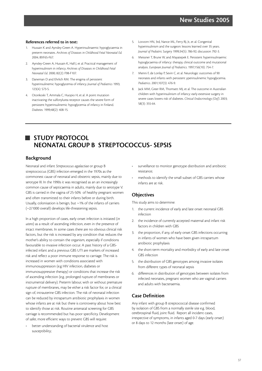#### **References referred to in text:**

- 1. Hussain K and Aynsley-Green A. Hyperinsulinaemic hypoglycaemia in preterm neonates. *Archives of Diseases in Childhood Fetal Neonatal Ed.* 2004; 89:F65-F67.
- 2. Aynsley-Green A, Hussain K, Hall J, et al. Practical management of hyperinsulinism in infancy. *Archives of Diseases in Childhood Fetal Neonatal Ed.* 2000; 82(2): F98-F107.
- 3. Daneman D and Ehrlich RM. The enigma of persistent hyperinsulinemic hypoglycemia of infancy. *Journal of Pediatrics* 1993; 123(4): 573-5.
- 4. Otonkoski T, Ammala C, Huopio H, et al. A point mutation inactivating the sulfonylurea receptor causes the severe form of persistent hyperinsulinemic hypoglycemia of infancy in Finland. *Diabetes.* 1999;48(2): 408-15.
- 5. Lovvorn HN, 3rd, Nance ML, Ferry RJ, Jr., et al. Congenital hyperinsulinism and the surgeon: lessons learned over 35 years. *Journal of Pediatric Surgery* 1999;34(5): 786-92; discussion 792-3.
- 6. Meissner T, Brune W, and Mayatepek E. Persistent hyperinsulinaemic hypoglycaemia of infancy: therapy, clinical outcome and mutational analysis. *European Journal of Pediatrics*. 1997;156(10): 754-7.
- 7. Menni F, de Lonlay P, Sevin C, et al. Neurologic outcomes of 90 neonates and infants with persistent yperinsulinemic hypoglycemia. *Pediatrics*. 2001;107(3): 476-9.
- 8. Jack MM, Greer RM, Thomsett MJ, et al. The outcome in Australian children with hyperinsulinism of infancy: early extensive surgery in severe cases lowers risk of diabetes. *Clinical Endocrinology (Oxf)*. 2003; 58(3): 355-64.

# **STUDY PROTOCOL NEONATAL GROUP B STREPTOCOCCUS- SEPSIS**

# **Background**

Neonatal and infant *Strepococcus agalactiae* or group B streptococcus (GBS) infection emerged in the 1970s as the commonest cause of neonatal and obstetric sepsis, mainly due to serotype III. In the 1990s it was recognised as an an increasingly common cause of septicaemia in adults, mainly due to serotype V. GBS is carried in the vagina of 25-50% of healthy pregnant women and often transmitted to their infants before or during birth. Usually, colonisation is benign, but ~1% of the infants of carriers (~2/1000 overall) develops life-threatening sepsis.

In a high proportion of cases, early onset infection is initiated (*in utero*) as a result of ascending infection, even in the presence of intact membranes. In some cases there are no obvious clinical risk factors, but the risk is increased by any condition that reduces the mother's ability to contain the organism, especially if conditions favourable to invasive infection occur. A past history of a GBSinfected infant and a previous GBS UTI are markers of increased risk and reflect a poor immune response to carriage. The risk is increased in women with conditions associated with immunosuppression (e.g HIV infection, diabetes or immunosuppressive therapy) or conditions that increase the risk of ascending infection (e.g. prolonged rupture of membranes or instrumental delivery). Preterm labour, with or without premature rupture of membranes, may be either a risk factor for, or a clinical sign of, intrauterine GBS infection. The risk of neonatal infection can be reduced by intrapartum antibiotic prophylaxis in women whose infants are at risk but there is controversy about how best to identify those at risk. Routine antenatal screening for GBS carriage is recommended but has poor specificity. Development of safer, more efficient ways to prevent GBS will require:

better understanding of bacterial virulence and host susceptibility;

- surveillance to monitor genotype distribution and antibiotic resistance;
- methods to identify the small subset of GBS carriers whose infants are at risk.

# **Objectives**

This study aims to determine:

- 1. the current incidence of early and late onset neonatal GBS infection
- 2. the incidence of currently accepted maternal and infant risk factors in children with GBS
- 3. the proportion, if any, of early onset GBS infections occurring in infants of women who have been given intrapartum antibiotic prophylaxis
- 4. the short-term mortality and morbidity of early and late onset GBS infection
- 5. the distribution of GBS genotypes among invasive isolates from different types of neonatal sepsis
- 6. differences in distribution of genotypes between isolates from infected neonates, pregnant women who are vaginal carriers and adults with bacteraemia.

# **Case Definition**

Any infant with group B streptococcal disease confirmed by isolation of GBS from a normally sterile site e.g. blood, cerebrospinal fluid, joint fluid. Report all incident cases, irrespective of symptoms, in infants aged 0-7 days (early onset) or 8 days to 12 months (late onset) of age.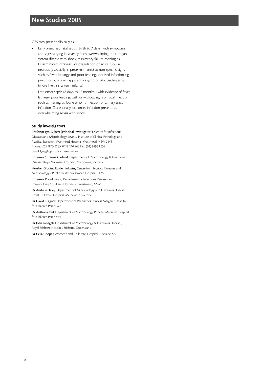GBS may present clinically as:

- Early onset neonatal sepsis (birth to 7 days) with symptoms and signs varying in severity from overwhelming multi-organ system disease with shock, respiratory failure, meningitis, Disseminated intravasculor coagulation or acute tubular necrosis (especially in preterm infants) to non-specific signs such as fever, lethargy and poor feeding, localised infection e.g. pneumonia, or even apparently asymptomatic bacteraemia (more likely in fullterm infants)
- Late onset sepsis (8 days to 12 months ) with evidence of fever, lethargy, poor feeding, with or without signs of focal infection such as meningitis, bone or joint infection or urinary tract infection. Occasionally late onset infection presents as overwhelming sepsis with shock.

#### **Study investigators**

Professor Lyn Gilbert (Principal Investigator\*), Centre for Infectious Diseases and Microbiology, Level 3, Institute of Clinical Pathology and Medical Research, Westmead Hospital, Westmead, NSW 2145 Phone: (02) 9845 6255; 0418 110 940 Fax: (02) 9893 8659 Email: lyng@icpmr.wsahs.nsw.gov.au

Professor Suzanne Garland, Department of Microbiology & Infectious Diseases Royal Women's Hospital, Melbourne, Victoria.

Heather Gidding,Epidemiologist, Centre for Infectious Diseases and Microbiology - Public Health Westmead Hospital, NSW

Professor David Isaacs, Department of Infectious Diseases and Immunology, Children's Hospital at Westmead, NSW

Dr Andrew Daley, Department of Microbiology and Infectious Diseases Royal Children's Hospital, Melbourne, Victoria

Dr David Burgner, Department of Paediatrics Princess Margaret Hospital for Children Perth, WA

Dr Anthony Keil, Department of Microbiology Princess Margaret Hospital for Children Perth WA

Dr Joan Faoagali, Department of Microbiology & Infectious Diseases, Royal Brisbane Hospital, Brisbane, Queensland

Dr Celia Cooper, Women's and Children's Hospital, Adelaide, SA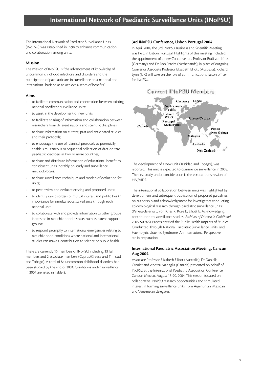The International Network of Paediatric Surveillance Units (INoPSU) was established in 1998 to enhance communication and collaboration among units.

### **Mission**

The mission of INoPSU is "the advancement of knowledge of uncommon childhood infections and disorders and the participation of paediatricians in surveillance on a national and international basis so as to achieve a series of benefits".

#### **Aims**

- to facilitate communication and cooperation between existing national paediatric surveillance units;
- to assist in the development of new units;
- to facilitate sharing of information and collaboration between researchers from different nations and scientific disciplines;
- to share information on current, past and anticipated studies and their protocols;
- to encourage the use of identical protocols to potentially enable simultaneous or sequential collection of data on rare paediatric disorders in two or more countries;
- to share and distribute information of educational benefit to constituent units, notably on study and surveillance methodologies;
- to share surveillance techniques and models of evaluation for units;
- to peer review and evaluate existing and proposed units;
- to identify rare disorders of mutual interest and public health importance for simultaneous surveillance through each national unit;
- to collaborate with and provide information to other groups interested in rare childhood diseases such as parent support groups;
- to respond promptly to international emergencies relating to rare childhood conditions where national and international studies can make a contribution to science or public health.

There are currently 15 members of INoPSU, including 13 full members and 2 associate members (Cyprus/Greece and Trinidad and Tobago). A total of 84 uncommon childhood disorders had been studied by the end of 2004. Conditions under surveillance in 2004 are listed in Table 8.

### **3rd INoPSU Conference, Lisbon Portugal 2004**

In April 2004, the 3rd INoPSU Business and Scientific Meeting was held in Lisbon, Portugal. HIghlights of this meeting included the appointment of a new Co-convenors Professor Rudi von Kries (Germany) and Dr Rob Pereira (Netherlands), in place of outgoing Convenor Associate Professor Elizabeth Elliott (Australia). Richard Lynn (UK) will take on the role of communications liaison officer for INoPSU.



The development of a new unit (Trinidad and Tobago), was reported. This unit is expected to commence surveillance in 2005. The first study under consideration is the vertical transmission of HIV/AIDS.

The international collaboration between units was highlighted by development and subsequent publication of proposed guidelines on authorship and acknowledgement for investigators conducting epidemiological research through paediatric surveillance units: (Periera-da-silva L, von Kries R, Rose D, Elliott E. Acknowledging contribution to surveillance studies. *Archives of Disease in Childhood* 2005; 90:768). Papers entitled the Public Health Impacts of Studies Conducted Through National Paediatric Surveillance Units, and Haemolytic Uraemic Syndrome: An International Perspective, are in preparation.

#### **International Paediatric Association Meeting, Cancun Aug 2004.**

Associate Professor Elizabeth Elliott (Australia), Dr Danielle Grenier and Andrea Madaglia (Canada) presented on behalf of INoPSU at the International Paediatric Association Conference in Cancun Mexico, August 15-20, 2004. This session focused on collaborative INoPSU research opportunities and stimulated interest in forming surveillance units from Argentinian, Mexican and Venezuelan delegates.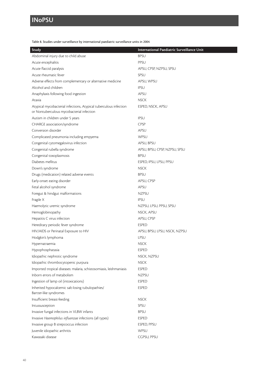# **INoPSU**

Table 8. Studies under surveillance by international paediatric surveillance units in 2004

| Study                                                                                                          | International Paediatric Surveillance Unit |
|----------------------------------------------------------------------------------------------------------------|--------------------------------------------|
| Abdominal injury due to child abuse                                                                            | <b>BPSU</b>                                |
| Acute encephalitis                                                                                             | PPSU                                       |
| Acute flaccid paralysis                                                                                        | APSU, CPSP, NZPSU, SPSU                    |
| Acute rheumatic fever                                                                                          | SPSU                                       |
| Adverse effects from complementary or alternative medicine                                                     | APSU, WPSU                                 |
| Alcohol and children                                                                                           | <b>IPSU</b>                                |
| Anaphylaxis following food ingestion                                                                           | APSU                                       |
| Ataxia                                                                                                         | <b>NSCK</b>                                |
| Atypical mycobacterial infections, Atypical tuberculous infection<br>or Nontuberculous mycobacterial infection | ESPED, NSCK, APSU                          |
| Autism in children under 5 years                                                                               | <b>IPSU</b>                                |
| CHARGE association/syndrome                                                                                    | CPSP                                       |
| Conversion disorder                                                                                            | APSU                                       |
| Complicated pneumonia including empyema                                                                        | WPSU                                       |
| Congenital cytomegalovirus infection                                                                           | APSU, BPSU                                 |
| Congenital rubella syndrome                                                                                    | APSU, BPSU, CPSP, NZPSU, SPSU              |
| Congenital toxoplasmosis                                                                                       | <b>BPSU</b>                                |
| Diabetes mellitus                                                                                              | ESPED, IPSU, LPSU, PPSU                    |
| Down's syndrome                                                                                                | <b>NSCK</b>                                |
| Drugs (medication) related adverse events                                                                      | <b>BPSU</b>                                |
| Early-onset eating disorder                                                                                    | APSU, CPSP                                 |
| Fetal alcohol syndrome                                                                                         | APSU                                       |
| Foregut & hindgut malformations                                                                                | <b>NZPSU</b>                               |
| Fragile X                                                                                                      | <b>IPSU</b>                                |
| Haemolytic uremic syndrome                                                                                     | NZPSU, LPSU, PPSU, SPSU                    |
| Hemoglobinopathy                                                                                               | NSCK, APSU                                 |
| Hepatitis C virus infection                                                                                    | APSU, CPSP                                 |
| Hereditary periodic fever syndrome                                                                             | <b>ESPED</b>                               |
| HIV/AIDS or Perinatal Exposure to HIV                                                                          | APSU, BPSU, LPSU, NSCK, NZPSU              |
| Hodgkin's lymphoma                                                                                             | LPSU                                       |
| Hypernatraemia                                                                                                 | <b>NSCK</b>                                |
| Hypophosphatasia                                                                                               | <b>ESPED</b>                               |
| Idiopathic nephrotic syndrome                                                                                  | NSCK, NZPSU                                |
| Idiopathic thrombocytopenic purpura                                                                            | <b>NSCK</b>                                |
| Imported tropical diseases: malaria, schistosomiasis, leishmaniasis                                            | <b>ESPED</b>                               |
| Inborn errors of metabolism                                                                                    | <b>NZPSU</b>                               |
| Ingestion of lamp oil (intoxications)                                                                          | <b>ESPED</b>                               |
| Inherited hypocalcemic salt-losing tubulopathies/                                                              | <b>ESPED</b>                               |
| Bartter-like syndromes                                                                                         |                                            |
| Insufficient breast-feeding                                                                                    | <b>NSCK</b>                                |
| Intussusception                                                                                                | SPSU                                       |
| Invasive fungal infections in VLBW infants                                                                     | <b>BPSU</b>                                |
| Invasive Haemophilus influenzae infections (all types)                                                         | <b>ESPED</b>                               |
| Invasive group B strepcoccus infection                                                                         | ESPED, PPSU                                |
| Juvenile idiopathic arthritis                                                                                  | WPSU                                       |
| Kawasaki disease                                                                                               | CGPSU, PPSU                                |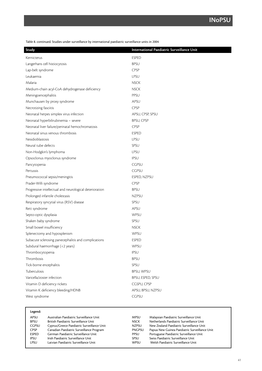Table 8. continued. Studies under surveillance by international paediatric surveillance units in 2004

| Study                                                   | International Paediatric Surveillance Unit |
|---------------------------------------------------------|--------------------------------------------|
| Kernicterus                                             | <b>ESPED</b>                               |
| Langerhans cell histiocytosis                           | <b>BPSU</b>                                |
| Lap-belt syndrome                                       | CPSP                                       |
| Leukaemia                                               | <b>LPSU</b>                                |
| Malaria                                                 | <b>NSCK</b>                                |
| Medium-chain acyl-CoA dehydrogenase deficiency          | <b>NSCK</b>                                |
| Meningoencephalitis                                     | PPSU                                       |
| Munchausen by proxy syndrome                            | APSU                                       |
| Necrotizing fasciitis                                   | CPSP                                       |
| Neonatal herpes simplex virus infection                 | APSU, CPSP, SPSU                           |
| Neonatal hyperbilirubinemia - severe                    | <b>BPSU, CPSP</b>                          |
| Neonatal liver failure/perinatal hemochromatosis        | <b>CPSP</b>                                |
| Neonatal sinus venous thrombosis                        | <b>ESPED</b>                               |
| Nesidioblastosis                                        | LPSU                                       |
| Neural tube defects                                     | SPSU                                       |
| Non-Hodgkin's lymphoma                                  | LPSU                                       |
| Opsoclonus myoclonus syndrome                           | <b>IPSU</b>                                |
| Pancytopenia                                            | <b>CGPSU</b>                               |
| Pertussis                                               | <b>CGPSU</b>                               |
| Pneumococcal sepsis/meningitis                          | ESPED, NZPSU                               |
| Prader-Willi syndrome                                   | CPSP                                       |
| Progressive intellectual and neurological deterioration | <b>BPSU</b>                                |
| Prolonged infantile cholestasis                         | <b>NZPSU</b>                               |
| Respiratory syncytial virus (RSV) disease               | SPSU                                       |
| Rett syndrome                                           | APSU                                       |
| Septo-optic dysplasia                                   | WPSU                                       |
| Shaken baby syndrome                                    | SPSU                                       |
| Small bowel insufficiency                               | <b>NSCK</b>                                |
| Splenectomy and hyposplenism                            | WPSU                                       |
| Subacute sclerosing panecephalitis and complications    | <b>ESPED</b>                               |
| Subdural haemorrhage (<2 years)                         | WPSU                                       |
| Thrombocytopenia                                        | <b>IPSU</b>                                |
| Thrombosis                                              | <b>BPSU</b>                                |
| Tick-borne encephalitis                                 | SPSU                                       |
| Tuberculosis                                            | BPSU, WPSU                                 |
| Varicella/zoster infection                              | BPSU, ESPED, SPSU                          |
| Vitamin D deficiency rickets                            | CGSPU, CPSP                                |
| Vitamin K deficiency bleeding/HDNB                      | APSU, BPSU, NZPSU                          |
| West syndrome                                           | CGPSU                                      |

| Legend:      |                                            |               |                                               |
|--------------|--------------------------------------------|---------------|-----------------------------------------------|
| APSU         | Australian Paediatric Surveillance Unit    | <b>MPSU</b>   | Malaysian Paediatric Surveillance Unit        |
| <b>BPSU</b>  | British Paediatric Surveillance Unit       | <b>NSCK</b>   | Netherlands Paediatric Surveillance Unit      |
| <b>CGPSU</b> | Cyprus/Greece Paediatric Surveillance Unit | <b>NZPSU</b>  | New Zealand Paediatric Surveillance Unit      |
| <b>CPSP</b>  | Canadian Paediatric Surveillance Program   | <b>PNGPSU</b> | Papua New Guinea Paediatric Surveillance Unit |
| <b>ESPED</b> | German Paediatric Surveillance Unit        | <b>PPSU</b>   | Portuguese Paediatric Surveillance Unit       |
| IPSU         | Irish Paediatric Surveillance Unit         | SPSU          | Swiss Paediatric Surveillance Unit            |
| LPSU         | Latvian Paediatric Surveillance Unit       | WPSU          | Welsh Paediatric Surveillance Unit            |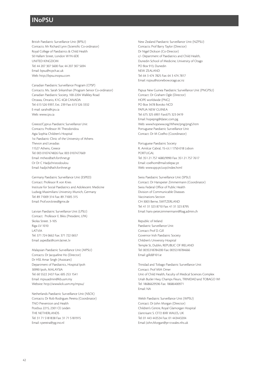# **INoPSU**

British Paediatric Surveillance Unit (BPSU) Contacts: Mr Richard Lynn (Scientific Co-ordinator) Royal College of Paediatrics & Child Health 50 Hallam Street, London W1N 6DE UNITED KINGDOM Tel: 44 207 307 5600 Fax: 44 207 307 5694 Email: bpsu@rcpch.ac.uk Web: http://bpsu.inopsu.com

Canadian Paediatric Surveillance Program (CPSP) Contacts: Ms. Sarah Srikanthan (Program Senior Co-ordinator) Canadian Paediatric Society, 100-2204 Walkley Road Ottawa, Ontario, K1G 4G8 CANADA Tel: 613 526 9397, Ext. 239 Fax: 613 526 3332 E-mail: sarahs@cps.ca Web: www.cps.ca

Greece/Cyprus Paediatric Surveillance Unit Contacts: Professor M Theodoridou Agia Sophia Children's Hospital 1st Paediatric Clinic of the University of Athens Thevon and Levadias 11527 Athens, Greece Tel: 003 0107474826 Fax: 003 0107477669 Email: mtheo@ath.forthnet.gr Or Dr C Hadjichristodoulou Email: hadjich@ath.forthnet.gr

Germany Paediatric Surveillance Unit (ESPED) Contact: Professor R von Kries Institute for Social Paediatrics and Adolescent Medicine Ludwig-Maximilians University Munich, Germany Tel: 89 71009 314 Fax: 89 71005 315 Email: Prof.von.kries@gmx.de

Latvian Paediatric Surveillance Unit (LPSU) Contact: Professor E. Bikis (President, LPA) Skolas Street. 3-105 Riga LV-1010 LATVIA Tel: 371 724 0662 Fax: 371 722 0657 Email: aspedlat@com.latnet..lv

Malaysian Paediatric Surveillance Unit (MPSU) Contacts: Dr Jacqueline Ho (Director) Dr HSS Amar Singh (Assistant) Department of Paediatrics, Hospital Ipoh 30990 Ipoh, MALAYSIA Tel: 60 5522 2437 Fax: 605 253 1541 Email: mpsuadmin@kb.usm.my Website: http://www.kck.usm.my/mpsu/

Netherlands Paediatric Surveillance Unit (NSCK) Contacts: Dr Rob Rodrigues Pereira (Coordinator) TNO Prevention and Health Postbus 2215, 2301 CE Leiden THE NETHERLANDS Tel: 31 71 5181838 Fax: 31 71 5181915 Email: r.pereira@pg.tno.nl

New Zealand Paediatric Surveillance Unit (NZPSU) Contacts: Prof Barry Taylor (Director) Dr Nigel Dickson (Co-Director) c/- Department of Paediatrics and Child Health, Dunedin School of Medicine, University of Otago PO Box 913, Dunedin NEW ZEALAND Tel: 64 3 474 7825 Fax: 64 3 474 7817 Email: nzpsu@stonebow.otago.ac.nz

Papua New Guinea Paediatric Surveillance Unit (PNGPSU) Contact: Dr Graham Ogle (Director) HOPE worldwide (PNG) PO Box 3478 Boroko NCD PAPUA NEW GUINEA Tel: 675 325 6901 Fax:675 323 0419 Email: hopepng@datec.com.pg Web: www.hopeww.org/Where/png/png5.htm Portuguese Paediatric Surveillance Unit Contact: Dr M Coelho (Coordinator)

Portuguese Paediatric Society R. Amilcar Cabral, 15-r/c I 1750-018 Lisbon PORTUGAL Tel: 351 21 757 4680/9990 Fax: 351 21 757 7617 Email: coelhom@mail.telepac.pt Web: www.spp.pt/uvp/index.html

Swiss Paediatric Surveillance Unit (SPSU) Contact: Dr Hanspeter Zimmermann (Coordinator) Swiss Federal Office of Public Health Division of Communicable Diseases Vaccinations Section CH-3003 Berne, SWITZERLAND Tel: 41 31 323 8710 Fax: 41 31 323 8795 Email: hans-peter.zimmermann@bag.admin.ch

Republic of Ireland Paediatric Surveillance Unit Contact: Prof D. Gill Governor Irish Paediatric Society Children's University Hospital Temple St, Dublin, REPUBLIC OF IRELAND Tel: 0035318784200 Fax: 0035318784666 Email: gilld@101.ie

Trinidad and Tobago Paediatric Surveillance Unit Contact: Prof MIA Omer Unit of Child Health, Faculty of Medical Sciences Complex Uriah Butler Hwy, Champs Fleurs, TRINIDAD and TOBAGO WI Tel: 18686629596 Fax: 18686400971 Email: NA

Welsh Paediatric Surveillance Unit (WPSU) Contact: Dr John Morgan (Director) Children's Centre, Royal Glamorgan Hospital Llantrisant S. CF72 8XR WALES, UK Tel: 01 443 443534 Fax: 01 443443204 Email: John.Morgan@pr-tr.wales.nhs.uk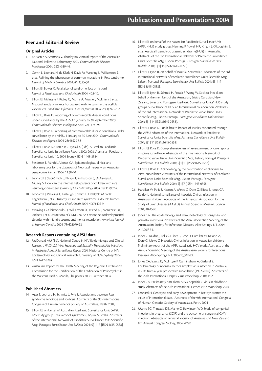# **Peer and Editorial Review**

#### **Original Articles**

- 1. Brussen KA, Stambos V, Thorley BR. Annual report of the Australian National Poliovirus Laboratory 2003. *Communicable Diseases Intelligence* 2004; 28(3):339-44.
- 2. Colvin L, Leonard H, de Klerk N, Davis M, Weaving L, Williamson S, et al. Refining the phenotype of common mutations in Rett syndrome. *Journal of Medical Genetics* 2004; 41(1):25-30.
- 3. Elliott EJ, Bower C. Fetal alcohol syndrome: fact or fiction? *Journal of Paediatrics and Child Health* 2004; 40:8-10.
- 4. Elliott EJ, McIntyre P, Ridley G, Morris A, Massie J, McEniery J, et al. National study of infants hospitalised with Pertussis in the acellular vaccine era. *Paediatric Infectious Diseases Journal* 2004; 23(3):246-252.
- 5. Elliott E J Rose D. Reporting of communicable disease conditions under surveillance by the APSU, 1 January to 30 September 2003. *Communicable Diseases Intelligence* 2004; 28(1): 90-91.
- Elliott EJ, Rose D. Reporting of communicable disease conditions under surveillance by the APSU, 1 January to 30 June 2004. *Communicable Diseases Intelligence* 2004; 28(4):529-531.
- 7. Elliott EJ, Rose D, Cronin P, Zurynski Y, (Eds). Australian Paediatric Surveillance Unit Surveillance Report 2002-2003. Australian Paediatric Surveillance Unit. 10, 2004 Sydney, ISSN: 1443-3524.
- Freidman E, Mindel, A Jones CA. Epidemiological, clinical and laboratory aids for the diagnosis of Neonatal herpes – an Australian perspective. *Herpes* 2004; 11:38-40.
- 9. Leonard H, Slack-Smith L, Philips T, Richardson S, D'Orsogna L, Mulroy S. How can the internet help parents of children with rare neurologic disorders? *Journal of Child Neurology* 2004; 19(11):902-7.
- 10. Leonard H, Weaving L, Eastaugh P, Smith L, Delatycki M, Witt Engerstrom I, et al. Trisomy 21 and Rett syndrome: a double burden. *Journal of Paediatrics and Child Health* 2004; 40(7):406-9.
- 11. Weaving LS, Chistodoulou J, Williamson SL, Friend KL, McKenzie OL, Archer H, et al. Mutations of CDKL5 cause a severe neurodevelopmental disorder with infantile spasms and mental retardation. *American Journal of Human Genetics* 2004; 75(6):1079-93.

#### **Research Reports containing APSU data**

- 12. McDonald AM (Ed). National Centre in HIV Epidemiology and Clinical Research. *HIV/AIDS, Viral Hepatitis and Sexually Transmissible Infections in Australia Annual Surveillance Report 2004.* National Centre of HIV Epidemiology and Clinical Research. University of NSW, Sydney 2004. ISSN 1442-8784.
- 13. Australian Report for the Tenth Meeting of the Regional Certification Commission for the Certification of the Eradication of Poliomyelitis in the Western Pacific, Manila, Philippines 20-21 October 2004

### **Published Abstracts**

- 14. Ager S, Leonard H, Schmitt L, Fyfe S. Associations between Rett syndrome genotype and scoliosis. Abstracts of the 9th International Congress of Human Genetics Society of Australasia, Perth, 2004;
- 15. Elliott EJ, on behalf of Australian Paediatric Surveillance Unit (APSU) FAS study group. Fetal alcohol syndrome (FAS) in Australia. Abstracts of the International Network of Paediatric Surveillance Units Scientific Mtg, *Portugese Surveillance Unit Bulletin* 2004; 5[1]:17 [ISSN:1645-0558].
- 16. Elliott EJ, on behalf of the Australian Paediatric Surveillance Unit (APSU) HUS study group: Henning P, Powell HR, Knight J, O'Loughlin E, et al. Atypical haemolytic uraemic syndrome(HUS) in Australlia. Abstracts of the 3rd International Network of Paediatric Surveillance Units Scientific Mtg, Lisbon, Portugal. *Portugese Surveillance Unit Bulletin* 2004; 5[1]:15 [ISSN:1645-0558].
- 17. Elliott EJ, Lynn R, on behalf of INoPSU Secretariat. Abstracts of the 3rd International Network of Paediatric Surveillance Units Scientific Mtg, Lisbon, Portugal. *Portugese Surveillance Unit Bulletin* 2004; 5[1]:17 [ISSN:1645-0558]
- 18. Elliott EJ, Lynn R, Schmid H, Proulx F, Wong W, Sockett P et al, on behalf of the members of the Australian, British, Canadian, New Zealand, Swiss and Portugese Paediatric Surveillance Units' HUS study groups. Surveillance of HUS: an International collaboration. Abstracts of the 3rd International Network of Paediatric Surveillance Units Scientific Mtg, Lisbon, Portugal. *Portugese Surveillance Unit Bulletin* 2004; 5[1]:14 [ISSN:1645-0558].
- 19. Elliott EJ, Rose D. Public health impact of studies conducted through the APSU, Abstracts of the International Network of Paediatric Surveillance Units Scientific Mtg, *Portugese Surveillance Unit Bulletin* 2004; 5[1]:11 [ISSN:1645-0558]
- 20. Elliott EJ, Rose D. Comprehensiveness of ascertainment of case reports in active surveillance. Abstracts of the International Network of Paediatric Surveillance Units Scientific Mtg, Lisbon, Portugal. *Portugese Surveillance Unit Bulletin* 2004; 5[1]:10 [ISSN:1645-0558]
- 21. Elliott EJ, Rose D. Acknowledging the contribution of clinicians to APSU surveillance. Abstracts of the International Network of Paediatric Surveillance Units Scientific Mtg, Lisbon, Portugal. *Portugese Surveillance Unit Bulletin* 2004; 5[1]:7 [ISSN:1645-0558]
- 22. Hardikar W, Polis S, Kesson A, Mews C, Dore G, Elliott E, Jones CA, Kaldor J. National surveillance of hepatitis C virus infection in Australian children. Abstracts of the American Association for the Study of Liver Diseases (AASLD) Annual Scientific Meeting. Boston, 2004; 40:A576.
- 23. Jones CA. The epidemiology and immunobiology of congenital and perinatal infections. Abstracts of the Annual Scientific Meeting of the Australasian Society for Infectious Diseases, Alice Springs, NT. 2004; A11.00:P-34.
- 24. Jones C, Kaldor J, Polis S, Elliott E, Rose D, Hardikar W, Kesson A, Dore G, Mews C. Hepatitis C virus infection in Australian children: Preliminary report of the APSU paediatric HCV study. Abstracts of the Annual Scientific Meeting of the Australasian Society for Infectious Diseases, Alice Springs, NT. 2004;13,30:P-29.
- 25. Jones CA, Isaacs, D, McIntyre P, Cunningham A, Garland S. Epidemiology of neonatal herpes simplex virus infection in Australia, results from 6 year prospective surveillance (1997-2002). Abstracts of the 29th International Herpes Virus Workshop, 2004; 4:02.
- 26. Jones CA. Preliminary data from APSU hepatitis C virus in childhood study. Abstracts of the 29th International Herpes Virus Workshop, 2004.
- 27. Leonard H. Genotype and early development in Rett syndrome: the value of international data. Abstracts of the 9th International Congress of Human Genetics Society of Australasia, Perth, 2004.
- 28. Munro SC, Trincado DE, Maine G, Rawlinson WD. Study of congenital infections in pregnancy (SCIP) and the outcome of congenital CMV infection. Abstracts of Perinatal Society of Australia and New Zealand 8th Annual Congress Sydney, 2004; A29P.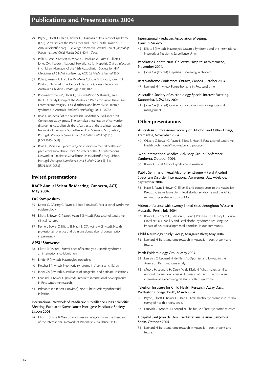- 29. Payne J, Elliott E Haan E, Bower C. Diagnosis of fetal alcohol syndrome (FAS). Abstracts of the Paediatrics and Child Health Division, RACP Annual Scientific Mtg. Rue Wright Memorial Award Finalist. *Journal of Paediatrics and Child Health* 2004; 40(9-10):A6.
- 30. Polis S, Rose D, Kesson A, Mews C, Hardikar W, Dore G, Elliott E, Jones CA, Kaldor J. National Surveillance for Hepatitis C virus infection in children. Abstracts of the 16th Australiasian Society for HIV Medicines (A.S.H.M). conference, ACT. *Int Medical Journal* 2004.
- 31. Polis S, Kesson A, Hardikar W, Mews C, Dore G, Elliott E, Jones CA Kaldor J. National surveillance of Hepatitis C virus infection in Australian Children. *Hepatology* 2004; 40:A576.
- 32. Robins-Browne RM, Elliott EJ, Bennett-Wood V, Russell J, and the HUS Study Group of the Australian Paediatric Surveillance Unit. Enterohaemorrhagic *E. Coli*, diarrhoea and haemolytic uraemic syndrome in Australia. *Pediatric Nephrology* 2004; 19:C52.
- 33. Rose D on behalf of the Australian Paediatric Surveillance Unit Conversion study group. The complex presentation of conversion disorder in Australian children. Abstracts of the 3rd International Network of Paediatric Surveillance Units Scientific Mtg, Lisbon, Portugal. *Portugese Surveillance Unit Bulletin* 2004; 5[1]:13 [ISSN:1645-0558].
- 34. Rose D, Morris A. Epidemiological research in mental health and paediatrics surveillance units. Abstracts of the 3rd International Network of Paediatric Surveillance Units Scientific Mtg, Lisbon, Portugal. *Portugese Surveillance Unit Bulletin* 2004; 5[1]:16 [ISSN:1645-0558].

#### **Invited presentations**

### **RACP Annual Scientific Meeting, Canberra, ACT, May 2004.**

#### **FAS Symposium**

- 35. Bower C, O'Leary C, Payne J, Elliott E (Invited). Fetal alcohol syndrome: epidemiology.
- 36. Elliott E, Bower C, Payne J Haan E (Invited). Fetal alcohol syndrome: clinical features.
- 37. Payne J, Bower C, Elliott EJ, Haan E, D'Antoine H (Invited). Health professionals' practice and opinions about alcohol consumption in pregnancy.

#### **APSU Showcase**

- 38. Elliott EJ (Invited). Surveillance of haemolytic uraemic syndrome: an international collaboration.
- 39. Emder P (Invited). Haemoglobinopathies
- 40. Fletcher J (Invited). Nephrotic syndrome in Australian children
- 41. Jones CA (Invited). Surveillance of congenital and perinatal infections.
- 42. Leonard H, Bower C (Invited). InterRett: international developments in Rett syndrome research.
- 43. Palasanthiran P, Best E (Invited). Non-tuberculosis mycobacterial infection.

#### International Network of Paediatric Surveillance Units Scientific Meeting. Paediatric Surveillance: Portugese Paediatric Society, Lisbon 2004

44 . Elliott E (Invited). Welcome address to delegates from the President of the International Network of Paediatric Surveillance Units.

#### International Paediatric Association Meeting, Cancun Mexico

45. Elliott E (Invited). Haemolytic Uraemic Syndrome and the International Network of Paediatric Surveillance Units.

#### Paediatric Update 2004. Childrens Hospital at Westmead, November 2004.

46. Jones CA (Invited). Hepatitis C screening in children.

#### Rett Syndrome Conference. Ottawa, Canada, October 2004.

47. Leonard H (Invited). Future horizons in Rett syndrome.

#### Australian Society of Microbiology Special Interest Meeting. Katoomba, NSW, July 2004.

48. Jones CA (Invited). Congenital viral infections – diagnosis and management.

#### **Other presentations**

#### Australasian Professional Society on Alcohol and Other Drugs, Fremantle, November 2004.

49. O'Leary C, Bower C, Payne J, Elliott E, Haan E. Fetal alcohol syndrome: Health professionals' knowledge and practice.

#### 32nd International Medical Advisory Group Conference, Canberra, October 2004.

50. Bower C. Fetal Alcohol Syndrome in Australia.

#### Public Seminar on Fetal Alcohol Syndrome – Fetal Alcohol Spectrum Disorder International Awareness Day, Adelaide, September 2004.

51. Haan E, Payne J, Bower C, Elliott E, and contributors to the Australian Paediatric Surveillance Unit. Fetal alcohol syndrome and the APSU minimum prevalence study of FAS.

#### Videoconference with twenty linked sites throughout Western Australia, Perth, July 2004.

52. Bower C, Leonard H, Glasson E, Payne J, Petterson B, O'Leary C, Bourke J. Intellectual Disability and Fetal alcohol syndrome: reducing the impact of neurodevelopmental disorders in our community.

#### Child Neurology Study Group, Margaret River, May 2004.

53. Leonard H. Rett syndrome research in Australia – past, present and future.

#### Perth Epidemiology Group, May 2004.

- 54. Laurvick C, Leonard H, de Klerk N. Optimising follow-up in the Australian Rett syndrome study.
- 55. Moore H, Leonard H, Carey M, de Klerk N. What makes families respond to questionnaires? A discussion of the risk factors in an international epidemiological study of Rett syndrome.

#### Telethon Institute for Child Health Research, Away Days, Wollaston College, Perth, March 2004.

- 56. Payne J, Elliott E, Bower C, Haan E. Fetal alcohol syndrome in Australia: survey of health professionals.
- 57. Laurvick C, Moore H, Leonard N. The future of Rett syndrome research.

#### Hospital Sant Joan de Déu, Paediatricians session. Barcelona Spain, October 2004

58. Leonard H. Rett syndrome research in Australia – past, present and future.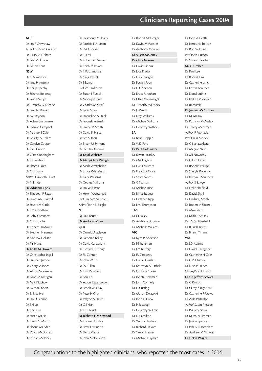# **Clinicians Reporting Cases 2004**

#### **ACT**

Dr Ian F Crawshaw A Prof G David Croaker Dr Hilary A Holmes Dr Ian W Hufton Dr Alison Kent **NSW**  Dr C Abkiewicz Dr Jane H Antony Dr Philip J Beeby Dr Srinivas Bolisetty Dr Anne M Bye Dr Timothy D Bohane Dr Jennifer Bowen Dr MP Brydon Dr Adam Buckmaster Dr Dianne Campbell Dr Michael J Cole Dr Felicity A Collins Dr Carolyn Cooper Dr Paul Craven Dr Clare Cunningham Dr P Davidson Dr Shoma Dutt Dr CJ Ellaway A/Prof Elizabeth Elliott Dr PJ Emder

Dr Adrienne Epps Dr Elizabeth R Fagan Dr James McL Friend Dr Stuart M Gadd Dr PM Goodhew Dr Toby Greenacre Dr G Hardache Dr Robert Hardwick Dr Stephen Hartman Dr Andrew Holland Dr PY Hong Dr Keith M Howard Dr Christopher Ingall Dr Stephen Jacobe

Dr Cheryl A Jones Dr Alison M Kesson Dr Allan M Kerrigan Dr M R Kluckow Dr Michael Kohn Dr Erik La Hei Dr Ian D Lennon Dr BH Lo Dr Keith Lui Dr Susan Marks Dr Hugh O Martin Dr Sloane Madden Dr David McDonald Dr Joseph Moloney

Dr Desmond Mulcahy Dr Patricia E Mutton Dr DA Osborn Dr Ju Oei Dr Robert A Ouvrier Dr Keith M Power Dr P Palasanthiran Dr Greg Rowell Dr S Raman Prof W Rawlinson Dr Susan J Russell Dr Monique Ryan Dr Charles M Scarf Dr Peter Shaw Dr Jacqueline A Stack Dr Jacqueline Small Dr Janine M Smith Dr David R Starte Dr Lee Sutton Dr Bryan M Symons Dr Dimitra Tzioumi Dr Boyd Webster Dr Mary-Clare Waugh Dr Mark Westphalen Dr Bruce Whitehead Dr Gary Williams Dr George Williams Dr Ian Wilkinson Dr Helen Woodhead Prof Graham Vimpani A/Prof John B Ziegler **NT** Dr Paul Bauert Dr Andrew White **QLD**  Dr Donald Appleton Dr Deborah Bailey Dr David Cartwright Dr Richard E Cherry Dr FL Connor Dr John W Cox Dr JA Cullen Dr Tim Donovan Dr Loui Ee Dr Aaron Easterbrook Dr Leonie M Gray Dr Peter H Gray Dr Wayne A Harris Dr G J Hart Dr T E Hassell Dr Richard Heazlewood

Dr Thomas Hurley Dr Peter Lewindon Dr Elena Mantz Dr John McCreanon

Dr David Pincus Dr Jose Prado Dr David Rogers Dr Patrick Ryan Dr D C Shelton Dr Bruce Urquhart Dr Claire Wainwright Dr Timothy Warnock Dr J Waugh Dr Judy Williams Dr Michael Williams Dr Geoffrey Withers **SA** Dr Brian Coppin Dr WD Ford Dr Paul Goldwater Dr Bevan Headley Dr MA Higgins Dr DM Lawrence Dr David J Moore Dr Scott Morris Dr C Pearson Dr Michael Rice Dr Rima Staugas Dr Heather Tapp Dr EM Thompson **TAS** Dr CJ Bailey Dr Anthony Dunston Dr Michelle Willams **VIC** Dr Kym P Anderson Dr PB Bergman Dr Jim Buttery Dr JR Carapetis Dr Daniel Casalaz Dr Bronwyn A Cathels Dr Caroline Clarke Dr Jacinta Coleman Dr John Connelly Dr D Cutting Dr Martin Delatycki Dr John H Drew Dr P Eastaugh Dr Geoffrey W Ford Dr C Hamilton Dr Winita Hardikar Dr Richard Haslam Dr Simon Hauser

Dr Robert McGregor Dr David McMaster Dr Anthony Morosini Dr Susan Moloney Dr Clare Nourse

**WA**

Dr John A Heath Dr James Holberton Dr Rod W Hunt Prof John Hutson Dr Susan E Jacobs Mr C Kimber Dr Paul Lee Dr Robert Lim Dr Catherine Lynch Dr Edwin Lowther Dr Lionel Lubitz Dr Leslie J Markman Dr RJ Massie Dr Ioanna McCubbin Dr KL McKay Dr Kathryn McMahon Dr Tracey Merriman A/Prof P Monagle Prof Colin Morley Dr C Nanayakkara Dr Margot Nash Dr MJ Nowotny Dr Gillian Opie Dr Roderic Phillips Dr Sheryle Rogerson Dr Kerryn R Saunders A/Prof S Sawyer Dr Leslie Sheffield Dr David Sholl Dr Lindsay J Smith Dr Robert A Sloane Dr Mike Starr Dr Keith B Stokes Dr TG Stubberfield Dr Russell Taylor Dr Brian J Timms Dr LD Adams Dr David P Burgner Dr Catherine H Cole Dr GM Chaney Dr Noel P French Clin A/Prof R Hagan Dr CA Jeffries-Stokes Dr C Kikiros Dr Cathy Kiraly-Borri Dr Catherine F Mews Dr Aida Partridge A/Prof Susan Prescott Dr JM Silberstein Dr Karen N Simmer Dr Janine Spencer Dr Jeffery R Tompkins Dr Andrew M Wawryk Dr Helen Wright

Congratulations to the highlighted clinicians, who reported the most cases in 2004.

Dr Michael Hayman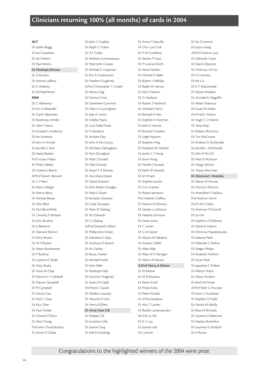# **Clinicians returning 100% (all months) of cards in 2004**

#### **ACT**

Dr Judith Bragg Dr Ian Crawshaw Dr Ian Hufton Dr Paul Jenkins Dr Penelope Johnson Dr Z Kecskes Dr Antony Lafferty Dr G Malecky Dr Michael Rosier **NSW** Dr C Abkiewicz Dr Ion S Alexander Dr Garth Alperstein Dr Rosemary Ambler Dr Alan F Amos Dr Donald G Anderson Dr Ian Andrews Dr John D Arnold Dr Jennifer E Ault Dr Nadia Badawi Prof Louise A Baur Dr Philip J Beeby Dr Graham J Bench A/Prof David L Bennett Dr G P Bent Dr Mary E Bergin Dr Martin Berry Dr Michael Besser Dr Alice Blick Dr Paul Bloomfield Dr Timothy D Bohane Dr John Boulton Dr J J Brereton Dr Warwick Britton Dr Kerry Brown Dr M P Brydon Dr Adam Buckmaster Dr P Buckner Dr Laurence E Budd Dr Mary Burke Dr Anne M E Bye Dr Patrina H Y Caldwell Dr Dianne Campbell Dr PJ Campbell Dr Danny Cass Dr Paul C Chay Dr Kity Chee Dr Paul Chidiac Dr Howard Chilton Dr Alan Chong Prof John Christodoulou Dr Simon D Clarke

Dr John C Coakley Dr Ralph C Cohen Dr A F Colley Dr Mithran Coomarasamy Dr Peter John Cooper Dr Michael C Copeman Dr Eric S Coudounaris Dr Heather Coughtrey A/Prof Christopher T Cowell Dr Maria Craig Dr Patricia Crock Dr Genevieve Cummins Dr Clare A Cunningham Dr Julie A Curtin Dr J Dalby-Payne Dr Luce Dalla-Pozza Dr P Davidson Dr Andrew Day Dr John A De Courcy Dr Michael J Deloughery Dr Kym Donaghue Dr Peter J Donald Dr Clare Doocey Dr Stuart F A Dorney Dr Ana Maria Dosen Dr David Dossetor Dr John Robert Douglas Dr Peter E Doyle Dr Richard J Dunstan Dr Linda Durojaiye Dr Peter W Ebeling Dr M J Edwards Dr C J Ellaway A/Prof Elizabeth J Elliott Dr Phillip John Emder Dr Adrienne G Epps Dr Anthony D Epstein Dr M J Fairley Dr Bruce J Fasher Dr Michael Fasher Dr John Feller Dr Penelope Field Dr Dominic Fitzgerald Dr Stuart M Gadd Prof Kevin J Gaskin Dr Madlen Gazarian Dr Maurice D Gett Dr Henry JGilbert Dr Anna Clare Gill Dr Deepak Gill Dr Jonathan Gillis Dr Joanne Ging Dr Neil D Ginsberg

Dr Anne F Glanville Dr Chin Lum Goh Dr P M Goodhew Dr Sandra P Grass Dr P Grattan-Smith Dr Anne Hackett Dr Michael S Haifer Dr Robert J Halliday Dr Ralph M Hanson Dr Nils F Hanson Dr G Hardacre Dr Robert J Hardwick Dr Michael J Harris Dr Richard K Hart Dr Stephen H Hartman Dr John G Harvey Dr Richard E Hawker Dr Leigh Haysom Dr Stephen Hing Dr Elisabeth M Hodson Dr James C S Hong Dr Jason Hong Dr Neville J Howard Dr Keith M Howard Dr M M Jack Dr Stephen Jacobs Dr Con A James Dr Robyn Jamieson Prof Heather E Jeffery Dr Patricia M Johnson Dr Sandra L J Johnson Dr Heather Johnston Dr Owen Jones Dr C J Jones Dr G M Kainer Dr Alyson M Kakakios Dr Stewart J Kellie Dr Allan Kelly Dr Allan M G Kerrigan Dr Alison M Kesson A/Prof Henry A Kilham Dr Eli Kleiner Dr M R Kluckow Dr Karen Knoll Dr Philip Kolos Dr Peter Kristidis Dr M Kumaradeva Dr Ahti T Lammi Dr Basiliki Lampropoulos Mr Erik La Hei Dr K C Lau Dr Joanne Leal Dr J Lemoh

Dr Ian D Lennon Dr Joyce Leong A/Prof Florence Levy Dr Deborah J Lewis Dr David Lillystone Dr Anthony J W Liu Dr O Lozynsky Dr Kei Lui Dr K T MacDonald Dr Sloane Madden Dr Annabel K Magoffin Dr Albert Mansour Dr Susan M Marks Prof Frank J Martin Dr Hugh C O Martin Dr Tania May Dr Robert McCarthy Dr Tim McCrossin Dr Andrew D McDonald Dr Jennifer L McDonald Dr John R McGill Dr Peter B McIntyre Dr Margo McIver Dr Tracey Merriman Dr Desmond L Mulcahy Dr Marea W Murray Dr Patricia E Mutton Dr Anandhan P Naidoo Prof Kathryn North Prof R Kim Oates Dr Anthony O'Connell Dr Jui Oei Dr Stephen J O'Flaherty Dr David A Osborn Dr Dimitrios Papadopoulos Dr Julianne Parle Dr Deborah G Perkins Dr Megan Phelps Dr Elizabeth Pickford Dr Susan Piper Dr Jaqueline C Pollack Dr Melvyn Polon Dr Alison Poulton Dr Keith M Power A/Prof Peter G Procopis Dr Karin L Proudman Dr Stephen D Pryde Dr Patrick M Rahilly Dr Bruce B Richards Dr Suzanne I Robertson Dr Marilyn Rochefort Dr Laurence G Roddick Dr A Ronan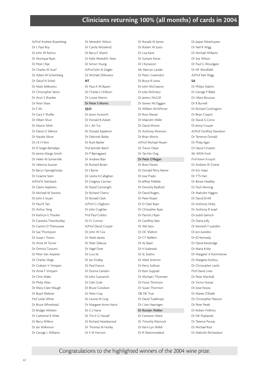A/Prof Andrew Rosenberg Dr L Paul Roy Dr John W Ruhno Dr Monique Ryan Dr Peter J Rye Dr Charles M Scarf Dr Adam M Scheinberg Dr David N Scheil Dr Mark Selikowitz Dr Christopher Seton Dr Arun S Shanker Dr Peter Shaw Dr E Shi Dr Gary F Sholler Dr Albert Shun Dr Martin Silink Dr David O Sillence Dr Natalie Silove Dr J K H Sinn Dr D Singer-Remeljan Dr Janine Margo Smith Dr Helen M Somerville Dr Velencia Soutter Dr Barry J Springthorpe Dr Graeme Stein A/Prof K Steinback Dr Glenn Stephens Dr Michael M Stevens Dr John E Stuart Dr Paul R Tait Dr Arthur Teng Dr Kathryn E Thacker Dr Ganesha Thambioillay Dr Gamini D Thenuwara Dr Sue Thompson Dr Susan J Towns Dr Anne M Turner Dr Dimitra Tzioumi Dr Peter Van Asperen Dr Charles Verge Dr Graham V Vimpani Dr Anne F Vimpani Dr Chris Wake Dr Philip Watt Dr Mary-Clare Waugh Dr Boyd Webster Prof Leslie White Dr Bruce Whitehead Dr Bridget Wilcken Dr Catherine R Wiles Dr Barry Wilkins Dr Ian Wilkinson Dr George L Williams

Dr Meredith Wilson Dr Carola Wittekind Dr Barry E Wyeth Dr Kylie Meredith Yates Dr Simon Young A/Prof John B Ziegler Dr Michael Zilibowitz **NT** Dr Paul A M Bauert Dr Charles J J Kilburn Dr Louise Martin Dr Peter S Morris **QLD** Dr Jason Acworth Dr Donald B Adsett Dr L Ah Yui Dr Donald Appleton Dr Deborah Bailey Dr Ruth Barker Prof Jennifer Batch Dr P Bjerragaard Dr Andrew Blair Dr Richard Broen Dr J Byrne Dr Leisha A Callaghan Dr Gregoey Carman Dr David Cartwright Dr Richard Cherry Dr Ronald Clark A/Prof G Cleghorn Dr John Coghlan Prof Paul Colditz Dr FL Connor A/Prof David Cooper Dr John W Cox Dr Mark davies Dr Peter Debuse Dr Nigel Dore Dr Loui Ee Dr Ian Findlay Dr Paul Francis Dr Donna Gandini Dr John Gavranich Dr Glen Gole Dr Bruce Goodwin Dr Peter Gray Dr Leonie M Gray Dr Margaret-Anne Harris Dr G J Harte Dr Tim E G Hassall Dr Richard Heazlewood Dr Thomas M Hurley Dr E M Hurrion

Dr Ronald W James Dr Robert W Justo Dr Lisa Kane Dr Sumant Kevat Dr J Kynaston Mr Mervyn Lander Dr Peter J Lewindon Dr Bruce R Lewis Dr John McCreanor Dr Julie McEniery Dr James J McGill Dr Steven McTaggart Dr William McWhirter Dr Ross Messer Dr Malcolm Miller Dr David Moore Dr Anthony Morosini Dr Brian Morris A/Prof Michael Nissen Dr Trevor Olsen Dr Tat-Hin Ong Dr Peter O'Regan Dr Brian Patten Dr Donald Perry-Keene Dr Jose Prado Dr Jeffrey Prebble Dr Dorothy Radford Dr David Rogers Dr Peter Roper Dr D Clark Ryan Dr Christpher Ryan Dr Patrick J Ryan Dr Geoffrey Seet Dr Wei Seto Dr DC Shelton Dr CY Skellern Dr AJ Slater Dr H Stalewski Dr SL Stathis Dr Mark Stretton Dr Kerry Sullivan Dr Ram Suppiah Dr Michael J Thomsett Dr Fiona Thomson Dr Susan Thornton DR DK True Dr David Tudehope Dr J Van Haeringen Dr Rosslyn Walker Dr Cameron Ward Dr Timothy Warnock Dr Kerri-Lyn Webb Dr R Westmoreland

Dr Jasper Westhuyzen Dr Neil R Wigg Dr Michael Williams Dr Sue Wilson Dr Paul G Woodgate Dr NF Woolfield A/Prof Neil Wigg **SA** Dr Philips Adams Dr George P Blake Dr Hilary Boucaut Dr R Burnell Dr Richard Cockington Dr Brian Coppin Dr David G Cortis Dr Jenny Couper A/Prof Geoffrey Davidson Dr Terrence Donald Dr Philip Egan Dr David S Everett Mr WDA Ford Prof Kevin Forsyth Dr Andrew W Grieve Dr Eric Haan Dr TTS Han Dr Bevan Headley Dr Paul Henning Dr Malcolm Higgins Dr David JS Hill Dr Anthony Hoby Dr Anthony R Israel Dr Judith Jaensch Dr Diana Jolly Dr Kenneth F Jureidini Dr Jon Jureidini Dr JD Kennedy Dr David Ketteridge Dr Maria Kirby Dr Margaret A Kummerow Dr Margeret Kyrkou Dr Christopher Lamb Prof David Lines Dr Peter Marshall Dr Victor Nossar Dr Josie Nozza Dr Maree O'Keefe Dr Christopher Pearson Dr Peter Petek Dr Robert Pollinitz Dr NK Poplawski Dr Terence Pouras Dr Michael Rice Dr Malcolm Richardson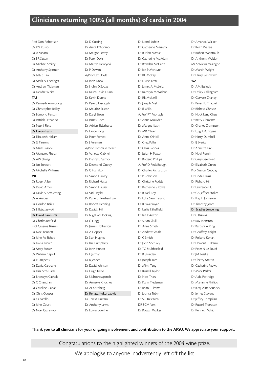# **Clinicians returning 100% (all months) of cards in 2004**

Prof Don Robertson Dr RN Russo Dr A Sabato Dr BR Saxon Dr Michael Smiley Dr Anthony Sparnon Dr Billy S Tao Dr Mark A Thesinger Dr Andrew Tidemann Dr Deirdre White **TAS** Dr Kenneth Armstrong Dr Christopher Bailey Dr Edmond Fenton Dr Patrick Fernando Dr Peter J Flett Dr Evelyn Funk Dr Elizabeth Hallam Dr SJ Parsons Dr Mark Pascoe Dr Margaret Phelan Dr AW Shugg Dr Ian Stewart Dr Michelle Williams **VIC** Dr Roger Allen Dr David Amor Dr David S Armstrong Dr A Auldist Dr Gordon Baikie Dr E Bajraszewski Dr David Bannister Dr Charles Barfield Prof Graeme Barnes Dr Noel Bennett Dr John M Bishop Dr Fiona Brown Dr Mary Brown Dr William Capell Dr J Carapetis Dr David Carolane Dr Elizabeth Carse Dr Bronwyn Cathels Dr C Chandran Dr Caroline Clarke Dr Chris Cooper Dr s Costello Dr John Court Dr Noel Cranswick

Dr D Cutting Dr Anita D'Aprano Dr Margot Davey Dr Peter Davis Dr Martin Delatycki Dr P Dewan A/Prof Lex Doyle Dr John Drew Dr J John D'Souza Dr Karen Leslie Dunn Dr Kevin Dunne Dr Peter J Eastaugh Dr Maurice Easton Dr Daryl Efron Dr James Elder Dr Adrien Elderhurst Dr Lance Fong Dr Peter Forrest Dr J Freeman A/Prof Nicholas Freezer Dr Vanessa Gabriel Dr Danny E Garrick Dr Desmond Guppy Dr C Hamilton Dr Simon Harvey Dr Richard Haslam Dr Simon Hauser Dr Sari Hayllar Dr Katie L Heathershaw Dr Robert Henning Dr David J Hill Dr Nigel W Hocking Dr G Hogg Dr James Holberton Dr A Hopper Dr Sian Hughes Dr Ian Humphrey Dr John Hunter Dr F Jarman Dr B Jenner Dr David Johnson Dr Hugh Kelso Dr S Khosrowpanah Dr Annette Knoches Dr AJ Kornberg Dr Renata Kukuruzovic Dr Teresa Lazzaro Dr Anthony Lewis Dr Edwin Lowther

Dr Lionel Lubitz Dr Catherine Marraffa Dr R John Massie Dr Catherine McAdam Dr Brendan McCann Dr Ian P Mcntyre Dr KL McKay Dr D McLaren Dr James A McLellan Dr Kathryn McMahon Dr RB McNeill Dr Joseph Mel Dr JF Mills A/Prof PT Monagle Dr Anne Moulden Dr Margot Nash Dr MR Oliver Dr Anne O'Neill Dr Greg Pallas Dr Chris Pappas Dr Julian H Paxton Dr Roderic Phillips A/Prof D Reddihough Dr Charles Richardson Dr P Robinson Dr Christine Rodda Dr Katherine S Rowe Dr R Neil Roy Dr Luke Sammartino Dr R Savarirayan Dr Leslie J Sheffield Dr Ian J Skelton Dr Susan Skull Dr Anne Smith Dr Andrew Smith Dr C Smith Dr John Spensley Dr TG Stubberfield Dr R Stunden Dr Joseph Tam Dr Mimi Tang Dr Russell Taylor Dr Nick Thies Dr Karin Tiedeman Dr Brian J Timms Dr Jacinta Tobin Dr SC Treleaven DR FCM Veit Dr Rowan Walker

Dr Amanda Walker Dr Keith Waters Dr Robert Weintraub Dr Anthony Weldon Mr S Wivkramasinghe Dr Martin Wright Dr Harry Zehnwirth **WA** Dr AM Bullock Dr Lesley Callingham Dr Gervase Chaney

Dr Peter J L Chauvel Dr Richard Christie Dr Hock Leng Chua Dr Barry Clements Dr Charles Crompton Dr Luigi D'Orsogna Dr Harry Dumbell Dr IJ Everitt Dr Annette Finn Dr Noel French Dr Gary Geelhoed Dr Elizabeth Green Prof Sasson Gubbay Dr Linda Harris Dr Richard Hill Dr Lawrence Hu Dr CA Jeffries-Stokes Dr Kay H Johnston Dr Timothy Jones Dr Bradley Jongeling Dr C Kikiros Dr Kay Johnston Dr Barbara A King Dr Geoffrey Knight Dr Rolland Kohan Dr Hement Kulkarni Dr Peter N Le Souef Dr JM Lesslie Dr Cherry Martin Dr Catherine Mews Dr Mark Parker Dr Aida Partridge Dr Marianne Phillips Dr Jacqueline Scurlock Dr Jeffrey Stevens Dr Jeffrey Tompkins Dr Russell Troedson Dr Kenneth Whitin

### **Thank you to all clinicians for your ongoing involvement and contribution to the APSU. We appreciate your support.**

Congratulations to the highlighted winners of the 2004 wine prize. We apologise to anyone inadvertently left off the list